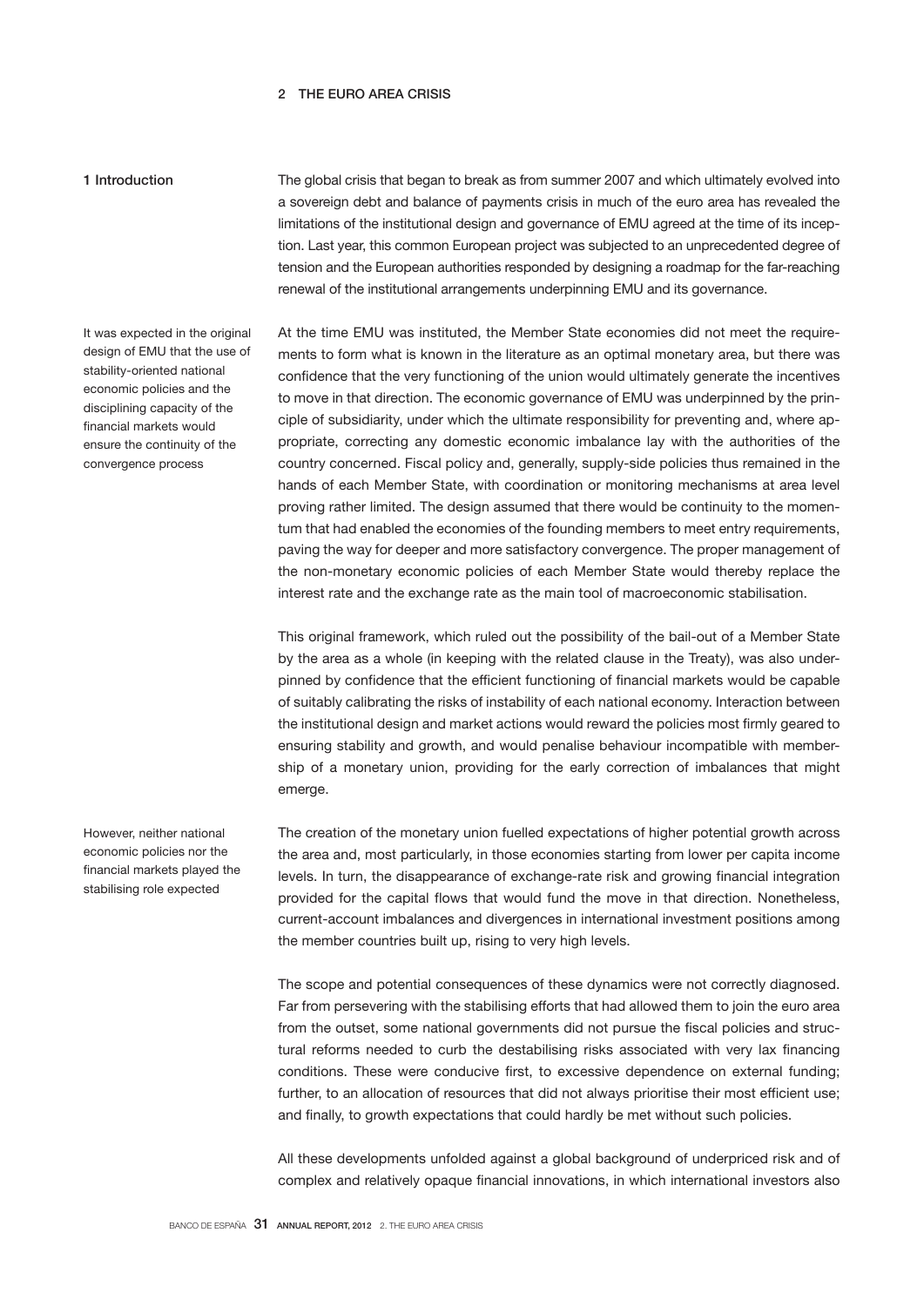# 2 THE EURO AREA CRISIS

# 1 Introduction

The global crisis that began to break as from summer 2007 and which ultimately evolved into a sovereign debt and balance of payments crisis in much of the euro area has revealed the limitations of the institutional design and governance of EMU agreed at the time of its inception. Last year, this common European project was subjected to an unprecedented degree of tension and the European authorities responded by designing a roadmap for the far-reaching renewal of the institutional arrangements underpinning EMU and its governance.

It was expected in the original design of EMU that the use of stability-oriented national economic policies and the disciplining capacity of the financial markets would ensure the continuity of the convergence process

At the time EMU was instituted, the Member State economies did not meet the requirements to form what is known in the literature as an optimal monetary area, but there was confidence that the very functioning of the union would ultimately generate the incentives to move in that direction. The economic governance of EMU was underpinned by the principle of subsidiarity, under which the ultimate responsibility for preventing and, where appropriate, correcting any domestic economic imbalance lay with the authorities of the country concerned. Fiscal policy and, generally, supply-side policies thus remained in the hands of each Member State, with coordination or monitoring mechanisms at area level proving rather limited. The design assumed that there would be continuity to the momentum that had enabled the economies of the founding members to meet entry requirements, paving the way for deeper and more satisfactory convergence. The proper management of the non-monetary economic policies of each Member State would thereby replace the interest rate and the exchange rate as the main tool of macroeconomic stabilisation.

This original framework, which ruled out the possibility of the bail-out of a Member State by the area as a whole (in keeping with the related clause in the Treaty), was also underpinned by confidence that the efficient functioning of financial markets would be capable of suitably calibrating the risks of instability of each national economy. Interaction between the institutional design and market actions would reward the policies most firmly geared to ensuring stability and growth, and would penalise behaviour incompatible with membership of a monetary union, providing for the early correction of imbalances that might emerge.

The creation of the monetary union fuelled expectations of higher potential growth across the area and, most particularly, in those economies starting from lower per capita income levels. In turn, the disappearance of exchange-rate risk and growing financial integration provided for the capital flows that would fund the move in that direction. Nonetheless, current-account imbalances and divergences in international investment positions among the member countries built up, rising to very high levels.

The scope and potential consequences of these dynamics were not correctly diagnosed. Far from persevering with the stabilising efforts that had allowed them to join the euro area from the outset, some national governments did not pursue the fiscal policies and structural reforms needed to curb the destabilising risks associated with very lax financing conditions. These were conducive first, to excessive dependence on external funding; further, to an allocation of resources that did not always prioritise their most efficient use; and finally, to growth expectations that could hardly be met without such policies.

All these developments unfolded against a global background of underpriced risk and of complex and relatively opaque financial innovations, in which international investors also

However, neither national economic policies nor the financial markets played the stabilising role expected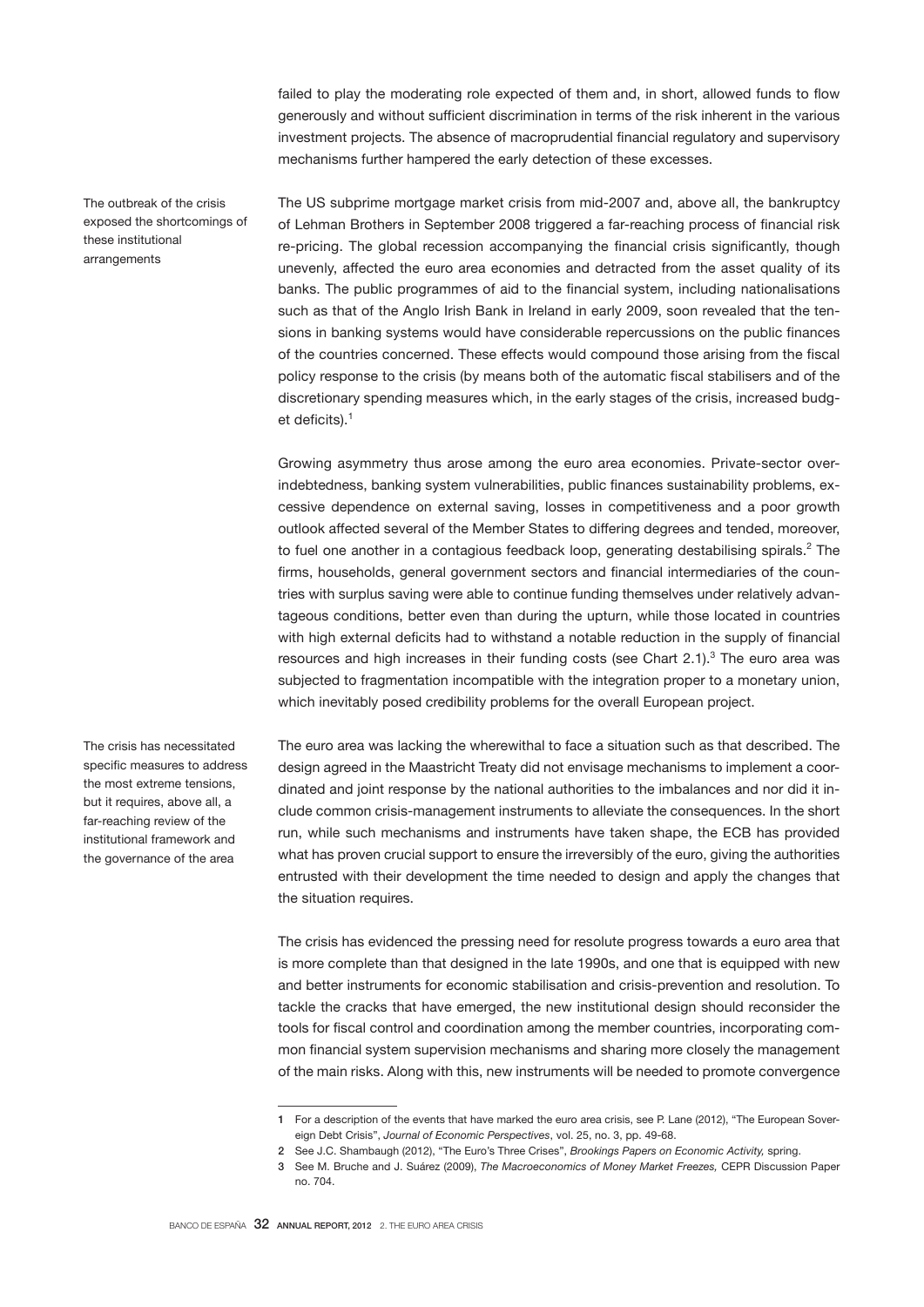failed to play the moderating role expected of them and, in short, allowed funds to flow generously and without sufficient discrimination in terms of the risk inherent in the various investment projects. The absence of macroprudential financial regulatory and supervisory mechanisms further hampered the early detection of these excesses.

The outbreak of the crisis exposed the shortcomings of these institutional arrangements

The US subprime mortgage market crisis from mid-2007 and, above all, the bankruptcy of Lehman Brothers in September 2008 triggered a far-reaching process of financial risk re-pricing. The global recession accompanying the financial crisis significantly, though unevenly, affected the euro area economies and detracted from the asset quality of its banks. The public programmes of aid to the financial system, including nationalisations such as that of the Anglo Irish Bank in Ireland in early 2009, soon revealed that the tensions in banking systems would have considerable repercussions on the public finances of the countries concerned. These effects would compound those arising from the fiscal policy response to the crisis (by means both of the automatic fiscal stabilisers and of the discretionary spending measures which, in the early stages of the crisis, increased budget deficits).<sup>1</sup>

Growing asymmetry thus arose among the euro area economies. Private-sector overindebtedness, banking system vulnerabilities, public finances sustainability problems, excessive dependence on external saving, losses in competitiveness and a poor growth outlook affected several of the Member States to differing degrees and tended, moreover, to fuel one another in a contagious feedback loop, generating destabilising spirals.<sup>2</sup> The firms, households, general government sectors and financial intermediaries of the countries with surplus saving were able to continue funding themselves under relatively advantageous conditions, better even than during the upturn, while those located in countries with high external deficits had to withstand a notable reduction in the supply of financial resources and high increases in their funding costs (see Chart  $2.1$ ).<sup>3</sup> The euro area was subjected to fragmentation incompatible with the integration proper to a monetary union, which inevitably posed credibility problems for the overall European project.

The euro area was lacking the wherewithal to face a situation such as that described. The design agreed in the Maastricht Treaty did not envisage mechanisms to implement a coordinated and joint response by the national authorities to the imbalances and nor did it include common crisis-management instruments to alleviate the consequences. In the short run, while such mechanisms and instruments have taken shape, the ECB has provided what has proven crucial support to ensure the irreversibly of the euro, giving the authorities entrusted with their development the time needed to design and apply the changes that the situation requires.

The crisis has evidenced the pressing need for resolute progress towards a euro area that is more complete than that designed in the late 1990s, and one that is equipped with new and better instruments for economic stabilisation and crisis-prevention and resolution. To tackle the cracks that have emerged, the new institutional design should reconsider the tools for fiscal control and coordination among the member countries, incorporating common financial system supervision mechanisms and sharing more closely the management of the main risks. Along with this, new instruments will be needed to promote convergence

The crisis has necessitated specific measures to address the most extreme tensions, but it requires, above all, a far-reaching review of the institutional framework and the governance of the area

<sup>1</sup> For a description of the events that have marked the euro area crisis, see P. Lane (2012), "The European Sovereign Debt Crisis", *Journal of Economic Perspectives*, vol. 25, no. 3, pp. 49-68.

<sup>2</sup> See J.C. Shambaugh (2012), "The Euro's Three Crises", *Brookings Papers on Economic Activity,* spring.

<sup>3</sup> See M. Bruche and J. Suárez (2009), *The Macroeconomics of Money Market Freezes,* CEPR Discussion Paper no. 704.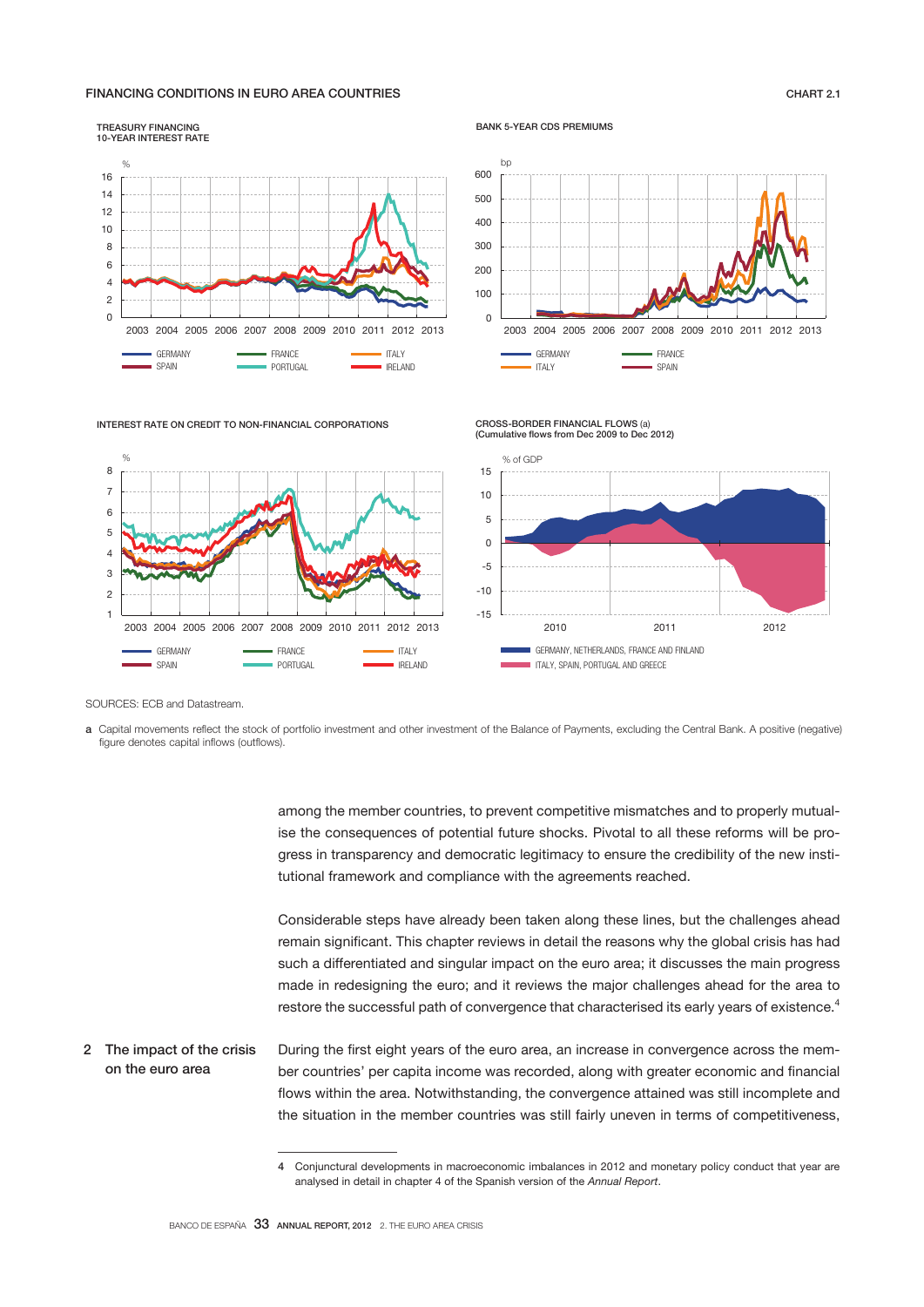# FINANCING CONDITIONS IN EURO AREA COUNTRIES CHART 2.1

#### TREASURY FINANCING 10-YEAR INTEREST RATE

 $\mathcal{O}/\mathcal{O}$ 

 GERMANY SPAIN



CROSS-BORDER FINANCIAL FLOWS (a)





2003 2004 2005 2006 2007 2008 2009 2010 2011 2012 2013

PORTUGAL

FRANCE **ITALY**<br>PORTUGAL **INTERNATION** IRELAND



SOURCES: ECB and Datastream.

a Capital movements reflect the stock of portfolio investment and other investment of the Balance of Payments, excluding the Central Bank. A positive (negative) figure denotes capital inflows (outflows).

> among the member countries, to prevent competitive mismatches and to properly mutualise the consequences of potential future shocks. Pivotal to all these reforms will be progress in transparency and democratic legitimacy to ensure the credibility of the new institutional framework and compliance with the agreements reached.

> Considerable steps have already been taken along these lines, but the challenges ahead remain significant. This chapter reviews in detail the reasons why the global crisis has had such a differentiated and singular impact on the euro area; it discusses the main progress made in redesigning the euro; and it reviews the major challenges ahead for the area to restore the successful path of convergence that characterised its early years of existence.<sup>4</sup>

During the first eight years of the euro area, an increase in convergence across the member countries' per capita income was recorded, along with greater economic and financial flows within the area. Notwithstanding, the convergence attained was still incomplete and the situation in the member countries was still fairly uneven in terms of competitiveness, 2 The impact of the crisis on the euro area

<sup>4</sup> Conjunctural developments in macroeconomic imbalances in 2012 and monetary policy conduct that year are analysed in detail in chapter 4 of the Spanish version of the *Annual Report*.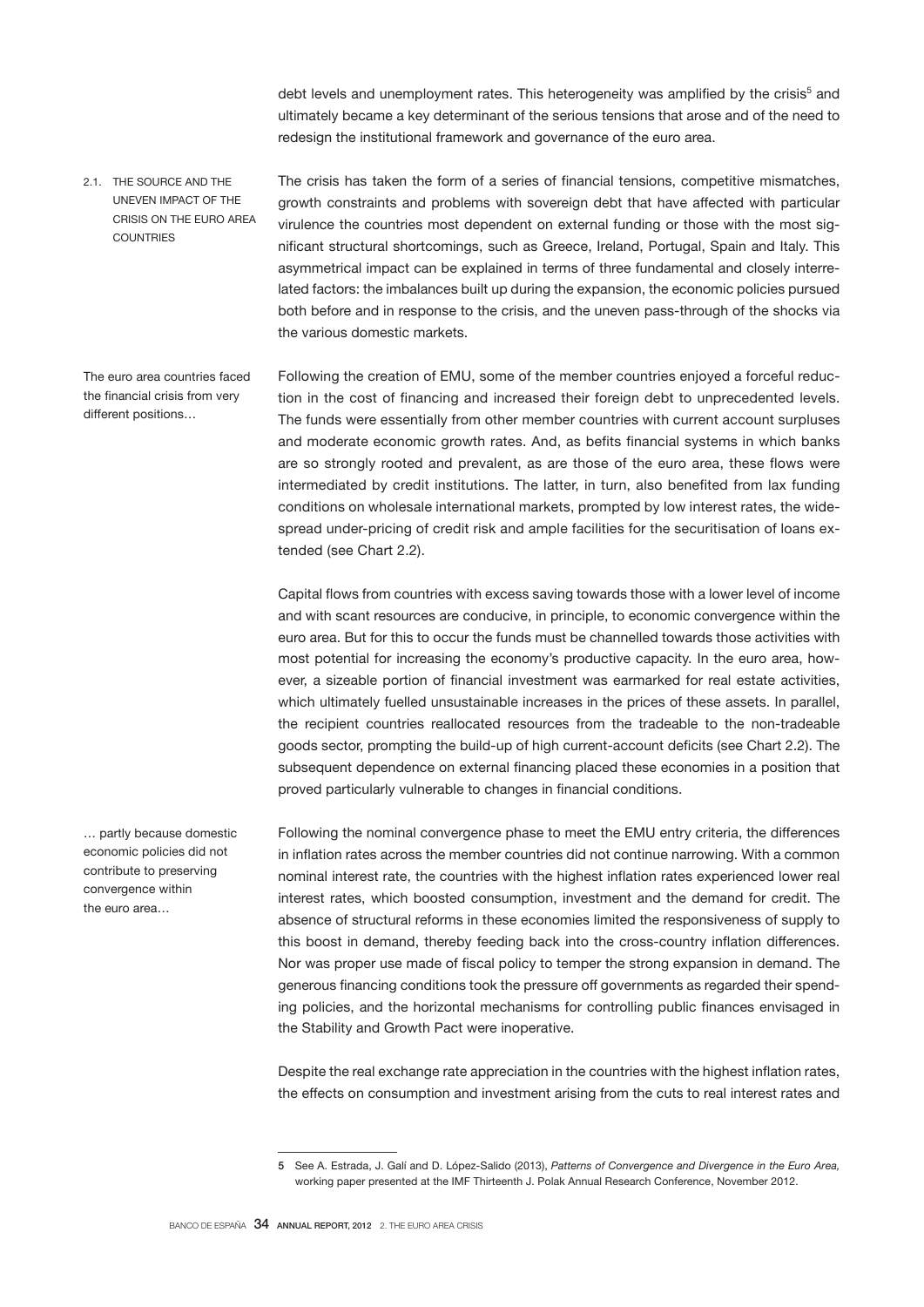debt levels and unemployment rates. This heterogeneity was amplified by the crisis<sup>5</sup> and ultimately became a key determinant of the serious tensions that arose and of the need to redesign the institutional framework and governance of the euro area.

The crisis has taken the form of a series of financial tensions, competitive mismatches, growth constraints and problems with sovereign debt that have affected with particular virulence the countries most dependent on external funding or those with the most significant structural shortcomings, such as Greece, Ireland, Portugal, Spain and Italy. This asymmetrical impact can be explained in terms of three fundamental and closely interrelated factors: the imbalances built up during the expansion, the economic policies pursued both before and in response to the crisis, and the uneven pass-through of the shocks via the various domestic markets. 2.1. THE SOURCE AND THE UNEVEN IMPACT OF THE CRISIS ON THE EURO AREA **COUNTRIES** 

The euro area countries faced the financial crisis from very different positions…

Following the creation of EMU, some of the member countries enjoyed a forceful reduction in the cost of financing and increased their foreign debt to unprecedented levels. The funds were essentially from other member countries with current account surpluses and moderate economic growth rates. And, as befits financial systems in which banks are so strongly rooted and prevalent, as are those of the euro area, these flows were intermediated by credit institutions. The latter, in turn, also benefited from lax funding conditions on wholesale international markets, prompted by low interest rates, the widespread under-pricing of credit risk and ample facilities for the securitisation of loans extended (see Chart 2.2).

Capital flows from countries with excess saving towards those with a lower level of income and with scant resources are conducive, in principle, to economic convergence within the euro area. But for this to occur the funds must be channelled towards those activities with most potential for increasing the economy's productive capacity. In the euro area, however, a sizeable portion of financial investment was earmarked for real estate activities, which ultimately fuelled unsustainable increases in the prices of these assets. In parallel, the recipient countries reallocated resources from the tradeable to the non-tradeable goods sector, prompting the build-up of high current-account deficits (see Chart 2.2). The subsequent dependence on external financing placed these economies in a position that proved particularly vulnerable to changes in financial conditions.

Following the nominal convergence phase to meet the EMU entry criteria, the differences in inflation rates across the member countries did not continue narrowing. With a common nominal interest rate, the countries with the highest inflation rates experienced lower real interest rates, which boosted consumption, investment and the demand for credit. The absence of structural reforms in these economies limited the responsiveness of supply to this boost in demand, thereby feeding back into the cross-country inflation differences. Nor was proper use made of fiscal policy to temper the strong expansion in demand. The generous financing conditions took the pressure off governments as regarded their spending policies, and the horizontal mechanisms for controlling public finances envisaged in the Stability and Growth Pact were inoperative.

Despite the real exchange rate appreciation in the countries with the highest inflation rates, the effects on consumption and investment arising from the cuts to real interest rates and

… partly because domestic economic policies did not contribute to preserving convergence within the euro area…

<sup>5</sup> See A. Estrada, J. Galí and D. López-Salido (2013), *Patterns of Convergence and Divergence in the Euro Area,* working paper presented at the IMF Thirteenth J. Polak Annual Research Conference, November 2012.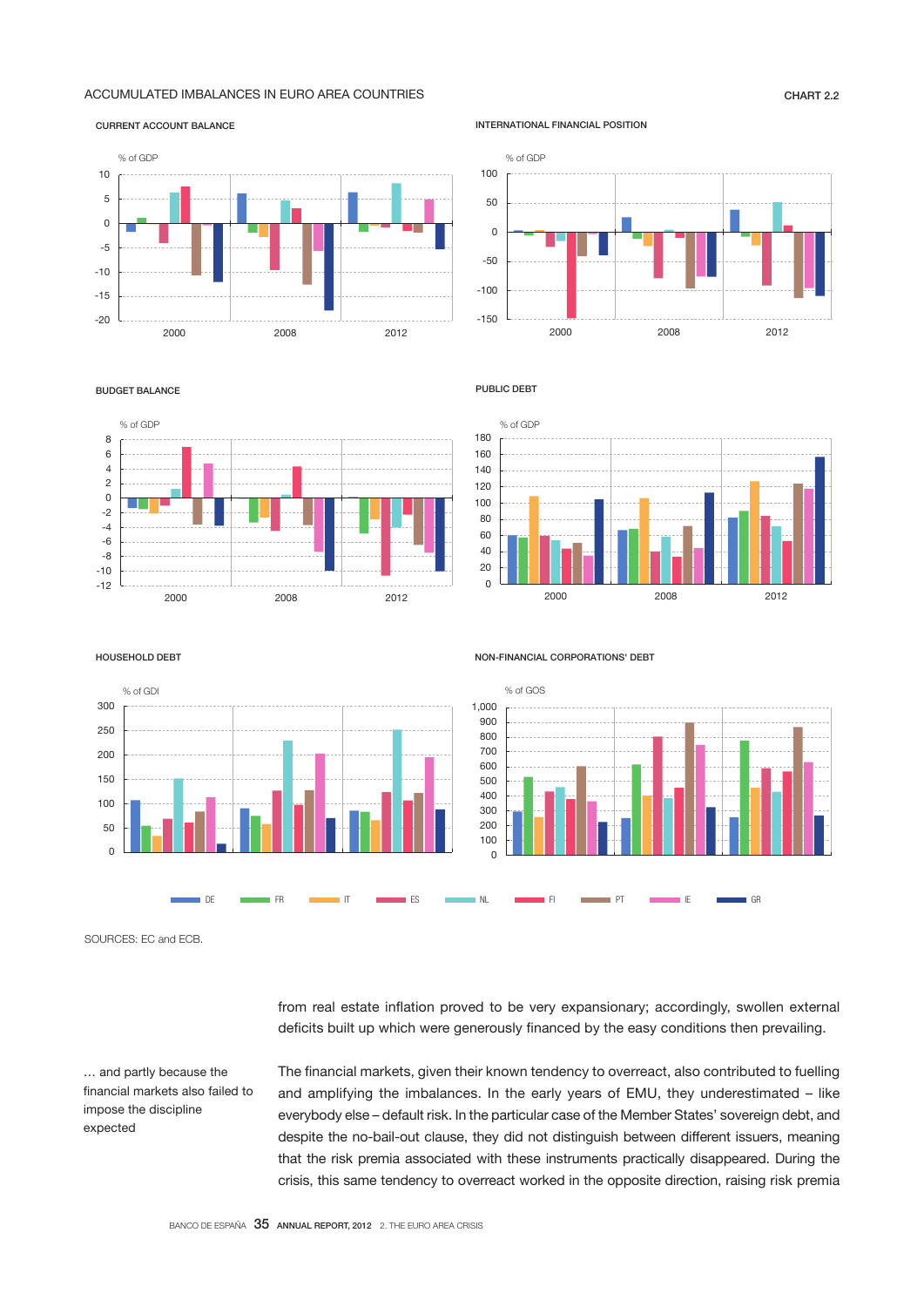# ACCUMULATED IMBALANCES IN EURO AREA COUNTRIES **CHART 2.2**

### CURRENT ACCOUNT BALANCE



INTERNATIONAL FINANCIAL POSITION



#### BUDGET BALANCE



PUBLIC DEBT



HOUSEHOLD DEBT



NON-FINANCIAL CORPORATIONS' DEBT



SOURCES: EC and ECB.

… and partly because the financial markets also failed to impose the discipline expected

from real estate inflation proved to be very expansionary; accordingly, swollen external deficits built up which were generously financed by the easy conditions then prevailing.

The financial markets, given their known tendency to overreact, also contributed to fuelling and amplifying the imbalances. In the early years of EMU, they underestimated – like everybody else – default risk. In the particular case of the Member States' sovereign debt, and despite the no-bail-out clause, they did not distinguish between different issuers, meaning that the risk premia associated with these instruments practically disappeared. During the crisis, this same tendency to overreact worked in the opposite direction, raising risk premia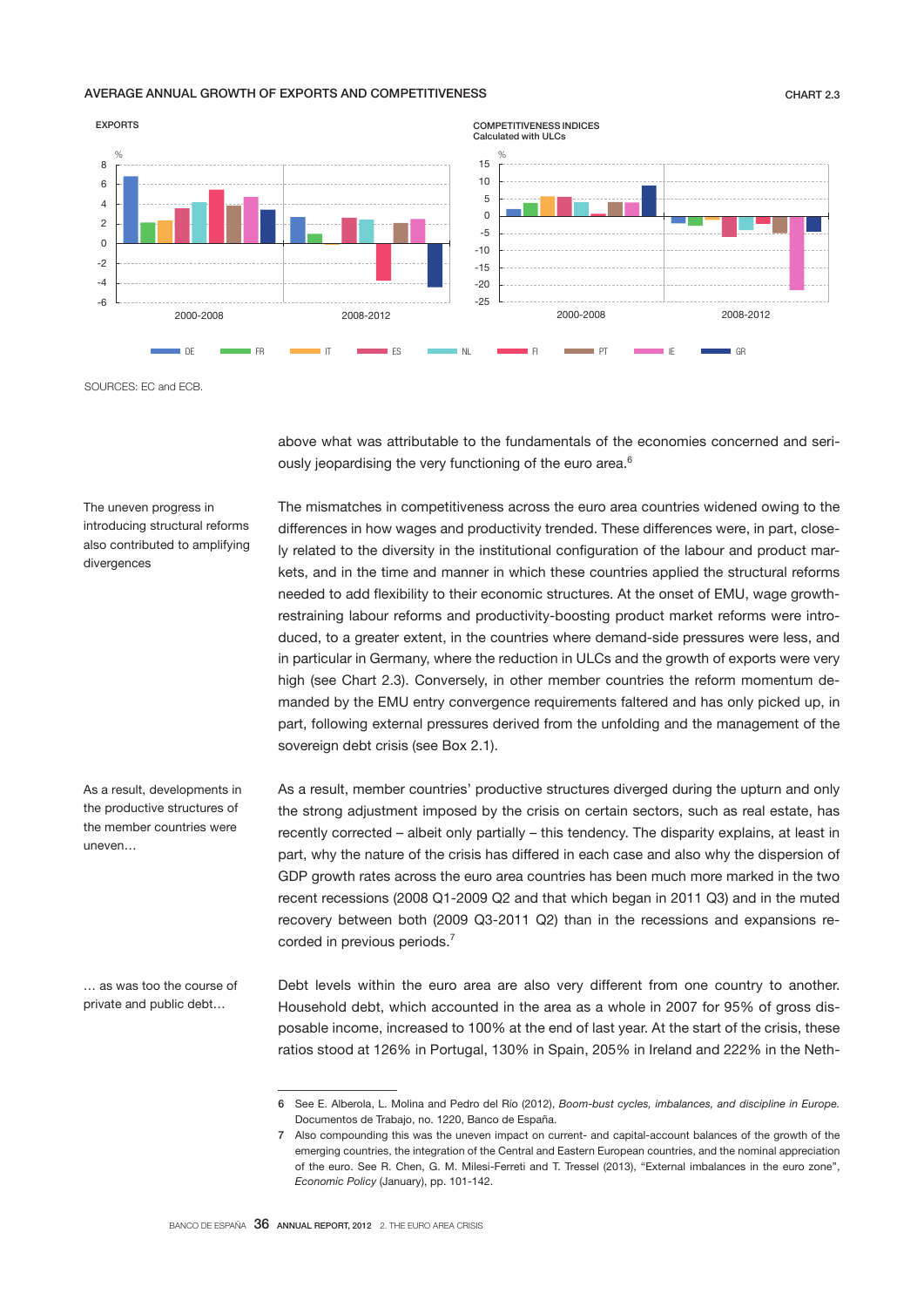# AVERAGE ANNUAL GROWTH OF EXPORTS AND COMPETITIVENESS **CHART 2.3** CHART 2.3



SOURCES: EC and ECB.

The uneven progress in introducing structural reforms also contributed to amplifying

divergences

uneven…

above what was attributable to the fundamentals of the economies concerned and seriously jeopardising the very functioning of the euro area.<sup>6</sup>

The mismatches in competitiveness across the euro area countries widened owing to the differences in how wages and productivity trended. These differences were, in part, closely related to the diversity in the institutional configuration of the labour and product markets, and in the time and manner in which these countries applied the structural reforms needed to add flexibility to their economic structures. At the onset of EMU, wage growthrestraining labour reforms and productivity-boosting product market reforms were introduced, to a greater extent, in the countries where demand-side pressures were less, and in particular in Germany, where the reduction in ULCs and the growth of exports were very high (see Chart 2.3). Conversely, in other member countries the reform momentum demanded by the EMU entry convergence requirements faltered and has only picked up, in part, following external pressures derived from the unfolding and the management of the sovereign debt crisis (see Box 2.1).

As a result, member countries' productive structures diverged during the upturn and only the strong adjustment imposed by the crisis on certain sectors, such as real estate, has recently corrected – albeit only partially – this tendency. The disparity explains, at least in part, why the nature of the crisis has differed in each case and also why the dispersion of GDP growth rates across the euro area countries has been much more marked in the two recent recessions (2008 Q1-2009 Q2 and that which began in 2011 Q3) and in the muted recovery between both (2009 Q3-2011 Q2) than in the recessions and expansions recorded in previous periods.<sup>7</sup>

… as was too the course of private and public debt…

As a result, developments in the productive structures of the member countries were

> Debt levels within the euro area are also very different from one country to another. Household debt, which accounted in the area as a whole in 2007 for 95% of gross disposable income, increased to 100% at the end of last year. At the start of the crisis, these ratios stood at 126% in Portugal, 130% in Spain, 205% in Ireland and 222% in the Neth-

<sup>6</sup> See E. Alberola, L. Molina and Pedro del Río (2012), *Boom-bust cycles, imbalances, and discipline in Europe.* Documentos de Trabajo, no. 1220, Banco de España.

<sup>7</sup> Also compounding this was the uneven impact on current- and capital-account balances of the growth of the emerging countries, the integration of the Central and Eastern European countries, and the nominal appreciation of the euro. See R. Chen, G. M. Milesi-Ferreti and T. Tressel (2013), "External imbalances in the euro zone", *Economic Policy* (January), pp. 101-142.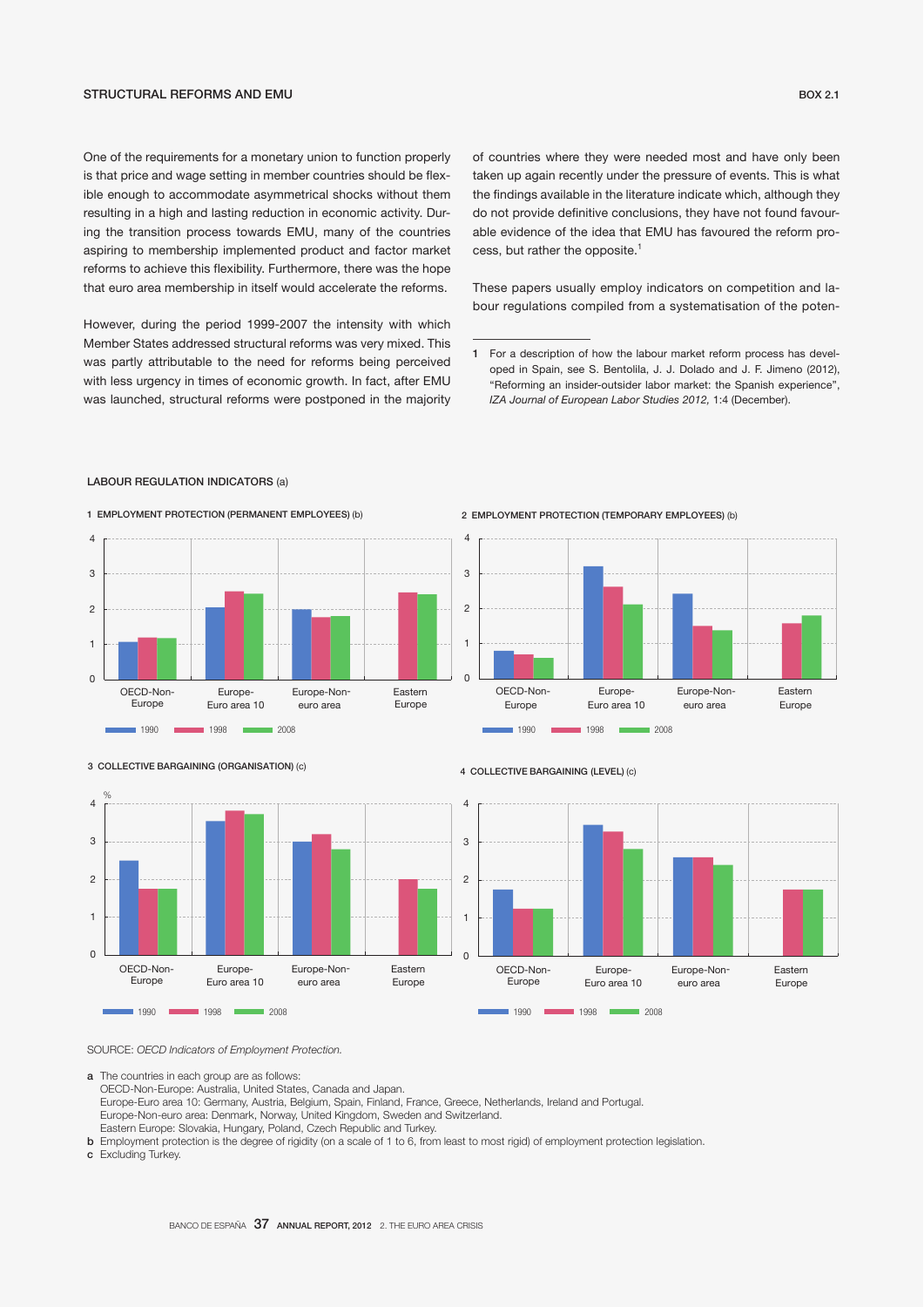# STRUCTURAL REFORMS AND EMU BOX 2.1

One of the requirements for a monetary union to function properly is that price and wage setting in member countries should be flexible enough to accommodate asymmetrical shocks without them resulting in a high and lasting reduction in economic activity. During the transition process towards EMU, many of the countries aspiring to membership implemented product and factor market reforms to achieve this flexibility. Furthermore, there was the hope that euro area membership in itself would accelerate the reforms.

However, during the period 1999-2007 the intensity with which Member States addressed structural reforms was very mixed. This was partly attributable to the need for reforms being perceived with less urgency in times of economic growth. In fact, after EMU was launched, structural reforms were postponed in the majority of countries where they were needed most and have only been taken up again recently under the pressure of events. This is what the findings available in the literature indicate which, although they do not provide definitive conclusions, they have not found favourable evidence of the idea that EMU has favoured the reform process, but rather the opposite.<sup>1</sup>

These papers usually employ indicators on competition and labour regulations compiled from a systematisation of the poten-



# LABOUR REGULATION INDICATORS (a)



# 3 COLLECTIVE BARGAINING (ORGANISATION) (c)



#### 4 COLLECTIVE BARGAINING (LEVEL) (c)

 $\overline{0}$ 1

 $\overline{2}$ 

3

4



OECD-Non- Europe-Non-

Europe-Euro area 10

2 EMPLOYMENT PROTECTION (TEMPORARY EMPLOYEES) (b)

euro area

Eastern

SOURCE: *OECD Indicators of Employment Protection.*

a The countries in each group are as follows:

OECD-Non-Europe: Australia, United States, Canada and Japan.

Europe-Euro area 10: Germany, Austria, Belgium, Spain, Finland, France, Greece, Netherlands, Ireland and Portugal.

- Europe-Non-euro area: Denmark, Norway, United Kingdom, Sweden and Switzerland.
- Eastern Europe: Slovakia, Hungary, Poland, Czech Republic and Turkey. b Employment protection is the degree of rigidity (on a scale of 1 to 6, from least to most rigid) of employment protection legislation.
- c Excluding Turkey.

<sup>1</sup> For a description of how the labour market reform process has developed in Spain, see S. Bentolila, J. J. Dolado and J. F. Jimeno (2012), "Reforming an insider-outsider labor market: the Spanish experience", *IZA Journal of European Labor Studies 2012,* 1:4 (December).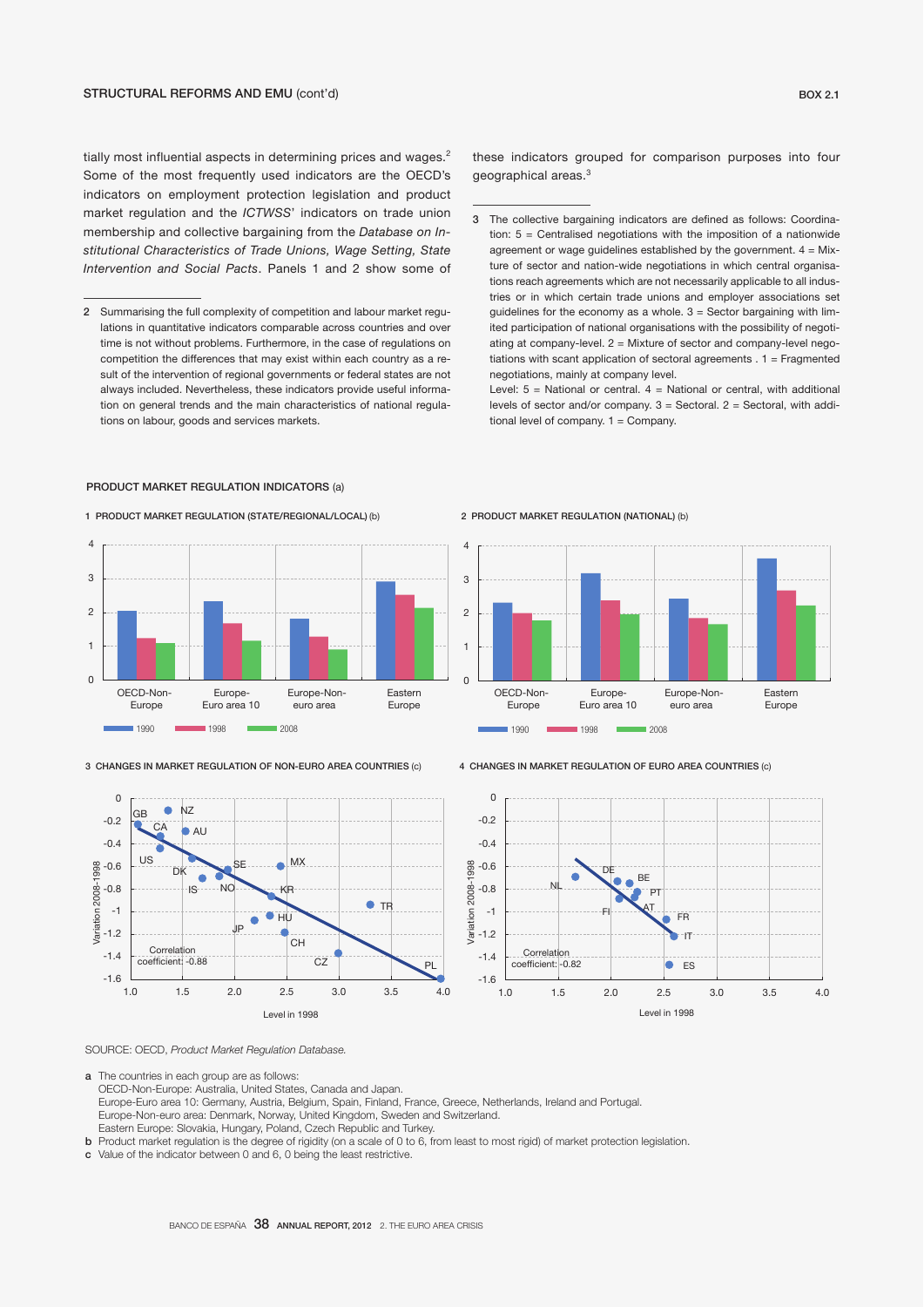tially most influential aspects in determining prices and wages.<sup>2</sup> Some of the most frequently used indicators are the OECD's indicators on employment protection legislation and product market regulation and the *ICTWSS*' indicators on trade union membership and collective bargaining from the *Database on Institutional Characteristics of Trade Unions, Wage Setting, State Intervention and Social Pacts*. Panels 1 and 2 show some of

these indicators grouped for comparison purposes into four geographical areas.<sup>3</sup>

Level:  $5 =$  National or central.  $4 =$  National or central, with additional levels of sector and/or company.  $3 =$  Sectoral.  $2 =$  Sectoral, with additional level of company.  $1 =$  Company.

## PRODUCT MARKET REGULATION INDICATORS (a)

### 1 PRODUCT MARKET REGULATION (STATE/REGIONAL/LOCAL) (b)



3 CHANGES IN MARKET REGULATION OF NON-EURO AREA COUNTRIES (c)



2 PRODUCT MARKET REGULATION (NATIONAL) (b)



4 CHANGES IN MARKET REGULATION OF EURO AREA COUNTRIES (c)



SOURCE: OECD, *Product Market Regulation Database.*

a The countries in each group are as follows:

 OECD-Non-Europe: Australia, United States, Canada and Japan. Europe-Euro area 10: Germany, Austria, Belgium, Spain, Finland, France, Greece, Netherlands, Ireland and Portugal. Europe-Non-euro area: Denmark, Norway, United Kingdom, Sweden and Switzerland. Eastern Europe: Slovakia, Hungary, Poland, Czech Republic and Turkey.

b Product market regulation is the degree of rigidity (on a scale of 0 to 6, from least to most rigid) of market protection legislation.

c Value of the indicator between 0 and 6, 0 being the least restrictive.

<sup>2</sup> Summarising the full complexity of competition and labour market regulations in quantitative indicators comparable across countries and over time is not without problems. Furthermore, in the case of regulations on competition the differences that may exist within each country as a result of the intervention of regional governments or federal states are not always included. Nevertheless, these indicators provide useful information on general trends and the main characteristics of national regulations on labour, goods and services markets.

<sup>3</sup> The collective bargaining indicators are defined as follows: Coordination:  $5 =$  Centralised negotiations with the imposition of a nationwide agreement or wage guidelines established by the government.  $4 = Mix$ ture of sector and nation-wide negotiations in which central organisations reach agreements which are not necessarily applicable to all industries or in which certain trade unions and employer associations set guidelines for the economy as a whole.  $3 =$  Sector bargaining with limited participation of national organisations with the possibility of negotiating at company-level.  $2 =$  Mixture of sector and company-level negotiations with scant application of sectoral agreements . 1 = Fragmented negotiations, mainly at company level.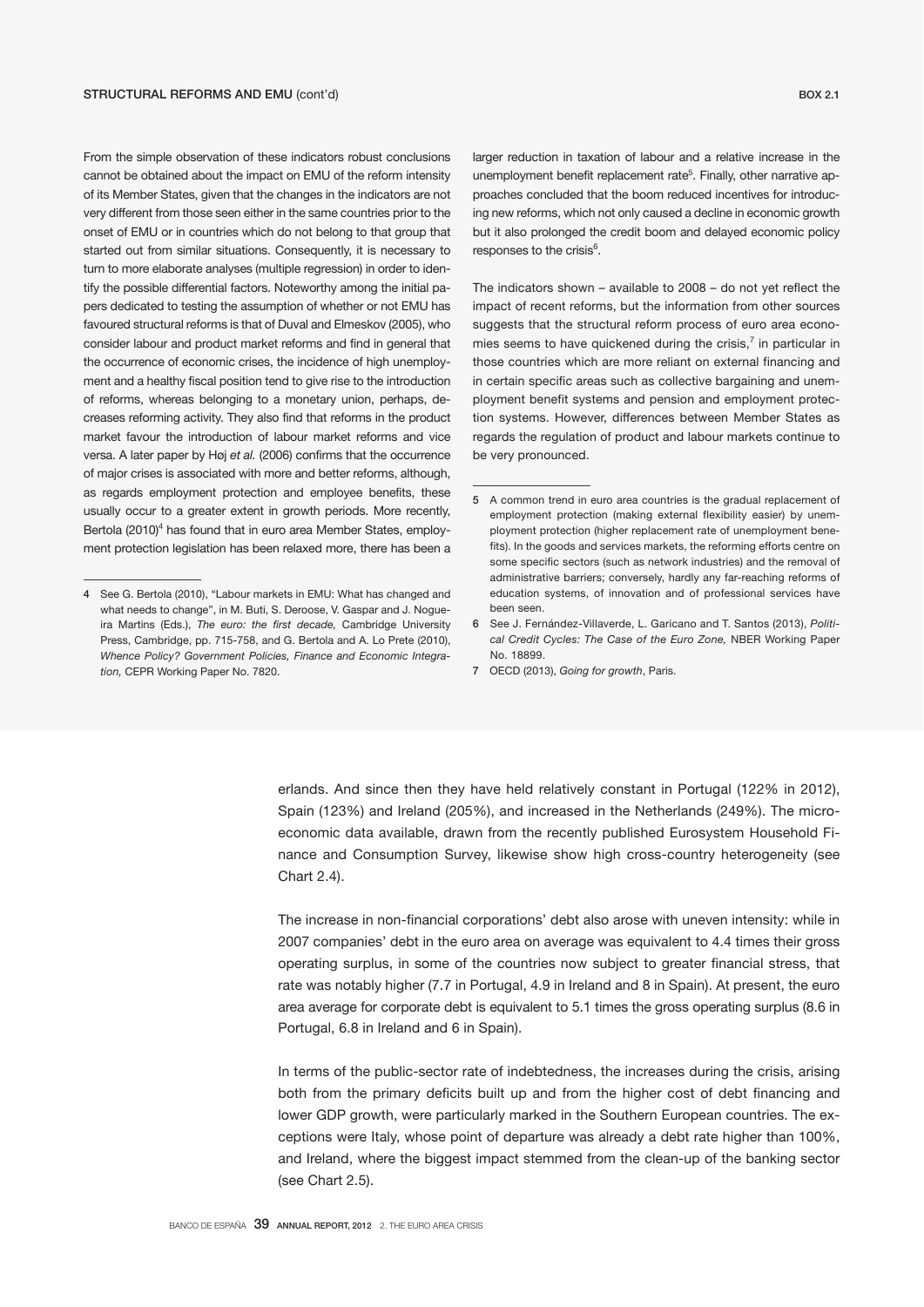From the simple observation of these indicators robust conclusions cannot be obtained about the impact on EMU of the reform intensity of its Member States, given that the changes in the indicators are not very different from those seen either in the same countries prior to the onset of EMU or in countries which do not belong to that group that started out from similar situations. Consequently, it is necessary to turn to more elaborate analyses (multiple regression) in order to identify the possible differential factors. Noteworthy among the initial papers dedicated to testing the assumption of whether or not EMU has favoured structural reforms is that of Duval and Elmeskov (2005), who consider labour and product market reforms and find in general that the occurrence of economic crises, the incidence of high unemployment and a healthy fiscal position tend to give rise to the introduction of reforms, whereas belonging to a monetary union, perhaps, decreases reforming activity. They also find that reforms in the product market favour the introduction of labour market reforms and vice versa. A later paper by Høj *et al.* (2006) confirms that the occurrence of major crises is associated with more and better reforms, although, as regards employment protection and employee benefits, these usually occur to a greater extent in growth periods. More recently, Bertola (2010)<sup>4</sup> has found that in euro area Member States, employment protection legislation has been relaxed more, there has been a

larger reduction in taxation of labour and a relative increase in the unemployment benefit replacement rate<sup>5</sup>. Finally, other narrative approaches concluded that the boom reduced incentives for introducing new reforms, which not only caused a decline in economic growth but it also prolonged the credit boom and delayed economic policy responses to the crisis<sup>6</sup>.

The indicators shown – available to 2008 – do not yet reflect the impact of recent reforms, but the information from other sources suggests that the structural reform process of euro area economies seems to have quickened during the crisis, $<sup>7</sup>$  in particular in</sup> those countries which are more reliant on external financing and in certain specific areas such as collective bargaining and unemployment benefit systems and pension and employment protection systems. However, differences between Member States as regards the regulation of product and labour markets continue to be very pronounced.

7 OECD (2013), *Going for growth*, Paris.

erlands. And since then they have held relatively constant in Portugal (122% in 2012), Spain (123%) and Ireland (205%), and increased in the Netherlands (249%). The microeconomic data available, drawn from the recently published Eurosystem Household Finance and Consumption Survey, likewise show high cross-country heterogeneity (see Chart 2.4).

The increase in non-financial corporations' debt also arose with uneven intensity: while in 2007 companies' debt in the euro area on average was equivalent to 4.4 times their gross operating surplus, in some of the countries now subject to greater financial stress, that rate was notably higher (7.7 in Portugal, 4.9 in Ireland and 8 in Spain). At present, the euro area average for corporate debt is equivalent to 5.1 times the gross operating surplus (8.6 in Portugal, 6.8 in Ireland and 6 in Spain).

In terms of the public-sector rate of indebtedness, the increases during the crisis, arising both from the primary deficits built up and from the higher cost of debt financing and lower GDP growth, were particularly marked in the Southern European countries. The exceptions were Italy, whose point of departure was already a debt rate higher than 100%, and Ireland, where the biggest impact stemmed from the clean-up of the banking sector (see Chart 2.5).

<sup>4</sup> See G. Bertola (2010), "Labour markets in EMU: What has changed and what needs to change", in M. Buti, S. Deroose, V. Gaspar and J. Nogueira Martins (Eds.), *The euro: the first decade,* Cambridge University Press, Cambridge, pp. 715-758, and G. Bertola and A. Lo Prete (2010), *Whence Policy? Government Policies, Finance and Economic Integration,* CEPR Working Paper No. 7820.

<sup>5</sup> A common trend in euro area countries is the gradual replacement of employment protection (making external flexibility easier) by unemployment protection (higher replacement rate of unemployment benefits). In the goods and services markets, the reforming efforts centre on some specific sectors (such as network industries) and the removal of administrative barriers; conversely, hardly any far-reaching reforms of education systems, of innovation and of professional services have been seen.

<sup>6</sup> See J. Fernández-Villaverde, L. Garicano and T. Santos (2013), *Political Credit Cycles: The Case of the Euro Zone,* NBER Working Paper No. 18899.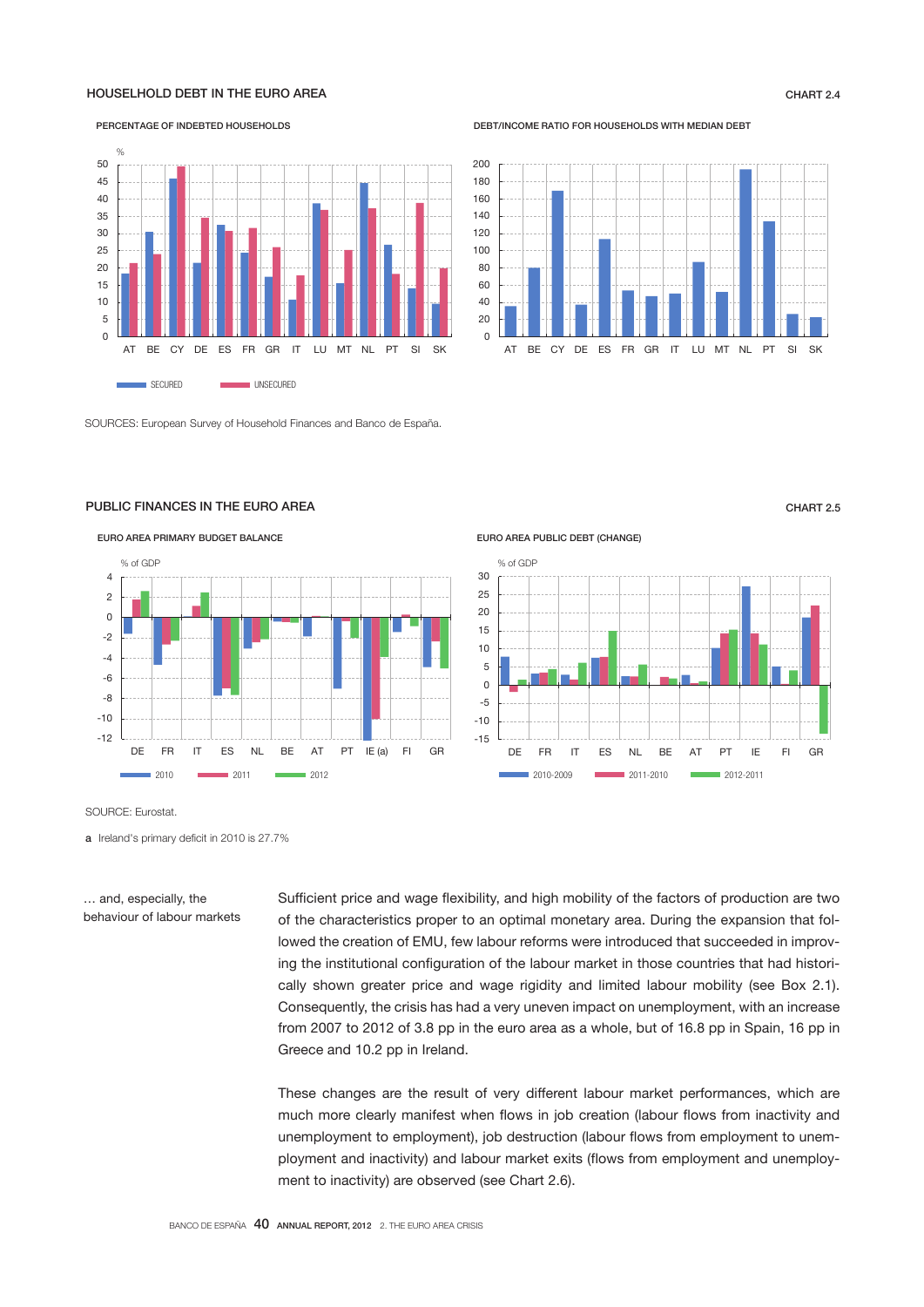# HOUSELHOLD DEBT IN THE EURO AREA CHART 2.4



SOURCES: European Survey of Household Finances and Banco de España.

# PUBLIC FINANCES IN THE EURO AREA CHART 2.5



SOURCE: Eurostat.

a Ireland's primary deficit in 2010 is 27.7%

… and, especially, the behaviour of labour markets Sufficient price and wage flexibility, and high mobility of the factors of production are two of the characteristics proper to an optimal monetary area. During the expansion that followed the creation of EMU, few labour reforms were introduced that succeeded in improving the institutional configuration of the labour market in those countries that had historically shown greater price and wage rigidity and limited labour mobility (see Box 2.1). Consequently, the crisis has had a very uneven impact on unemployment, with an increase from 2007 to 2012 of 3.8 pp in the euro area as a whole, but of 16.8 pp in Spain, 16 pp in Greece and 10.2 pp in Ireland.

EURO AREA PUBLIC DEBT (CHANGE)

These changes are the result of very different labour market performances, which are much more clearly manifest when flows in job creation (labour flows from inactivity and unemployment to employment), job destruction (labour flows from employment to unemployment and inactivity) and labour market exits (flows from employment and unemployment to inactivity) are observed (see Chart 2.6).

#### DEBT/INCOME RATIO FOR HOUSEHOLDS WITH MEDIAN DEBT



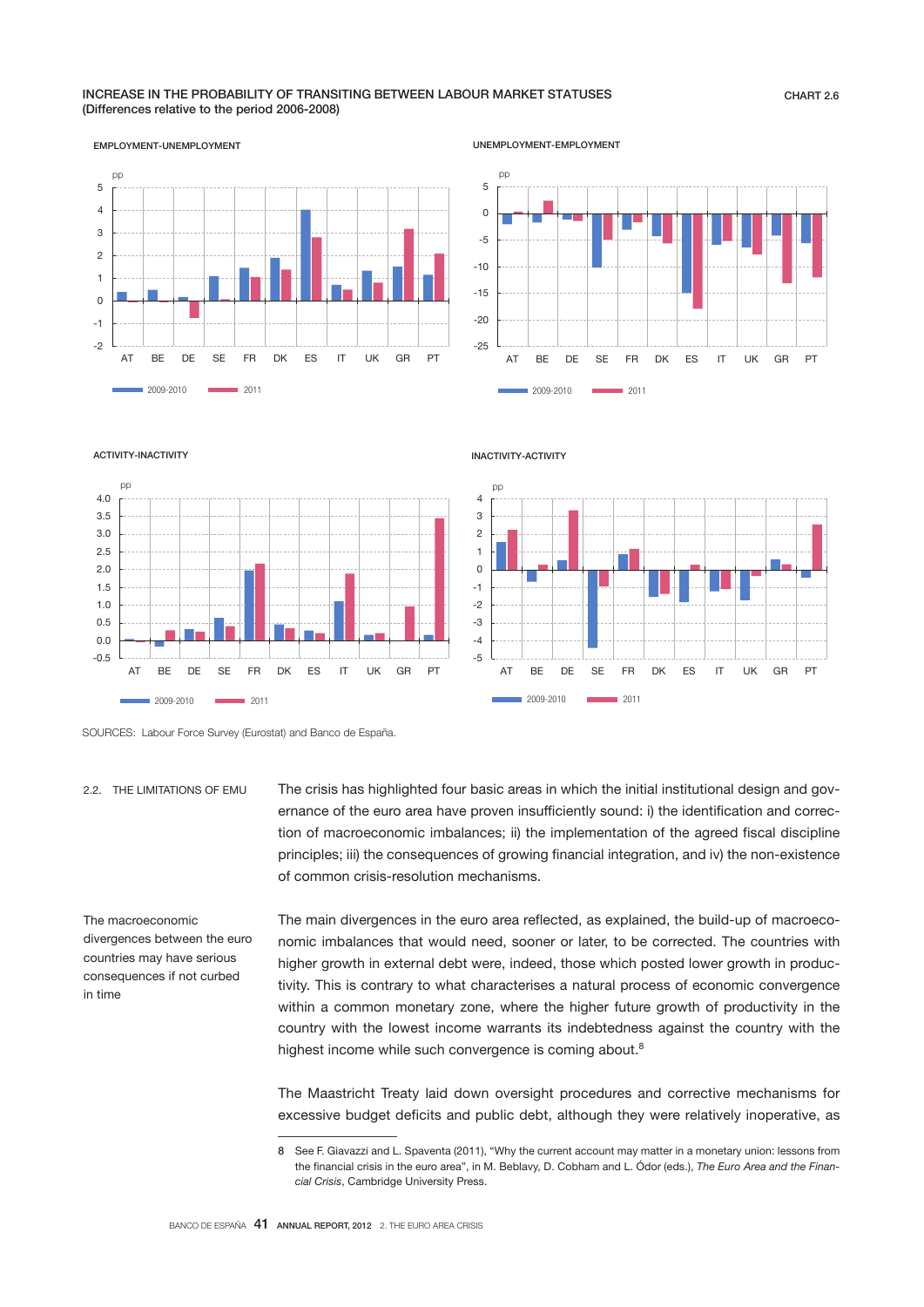# INCREASE IN THE PROBABILITY OF TRANSITING BETWEEN LABOUR MARKET STATUSES (Differences relative to the period 2006-2008)



UNEMPLOYMENT-EMPLOYMENT



-0.5 0.0 0.5 1.0 1.5  $2.0$ 2.5 3.0 3.5 4.0 AT BE DE SE FR DK ES IT UK GR PT 2009-2010 2011 pp

INACTIVITY-ACTIVITY



SOURCES: Labour Force Survey (Eurostat) and Banco de España.

2.2. THE LIMITATIONS OF EMU

ACTIVITY-INACTIVITY

ernance of the euro area have proven insufficiently sound: i) the identification and correction of macroeconomic imbalances; ii) the implementation of the agreed fiscal discipline principles; iii) the consequences of growing financial integration, and iv) the non-existence of common crisis-resolution mechanisms.

The crisis has highlighted four basic areas in which the initial institutional design and gov-

The macroeconomic divergences between the euro countries may have serious consequences if not curbed in time

The main divergences in the euro area reflected, as explained, the build-up of macroeconomic imbalances that would need, sooner or later, to be corrected. The countries with higher growth in external debt were, indeed, those which posted lower growth in productivity. This is contrary to what characterises a natural process of economic convergence within a common monetary zone, where the higher future growth of productivity in the country with the lowest income warrants its indebtedness against the country with the highest income while such convergence is coming about.<sup>8</sup>

The Maastricht Treaty laid down oversight procedures and corrective mechanisms for excessive budget deficits and public debt, although they were relatively inoperative, as

<sup>8</sup> See F. Giavazzi and L. Spaventa (2011), "Why the current account may matter in a monetary union: lessons from the financial crisis in the euro area", in M. Beblavy, D. Cobham and L. Ódor (eds.), *The Euro Area and the Financial Crisis*, Cambridge University Press.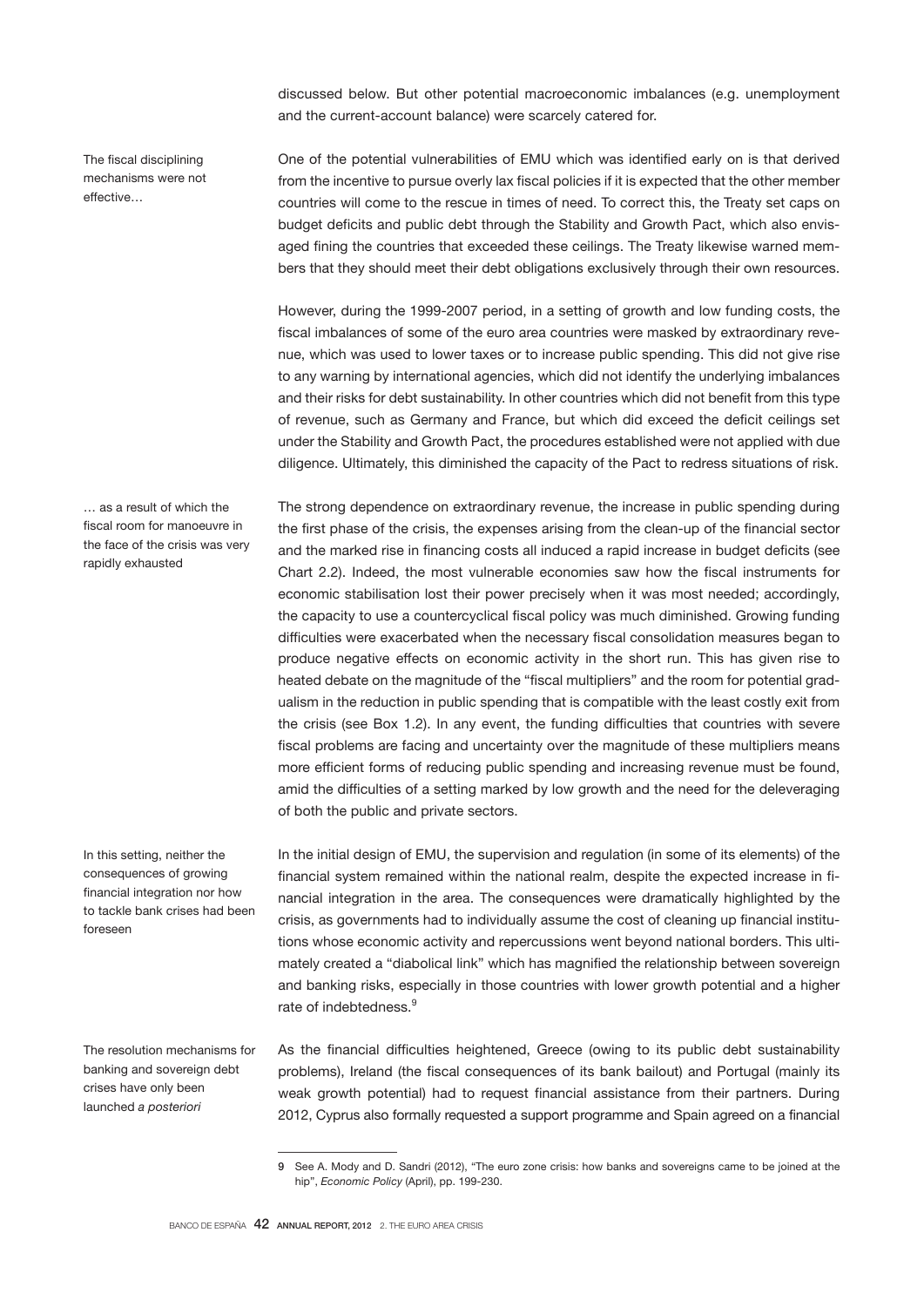discussed below. But other potential macroeconomic imbalances (e.g. unemployment and the current-account balance) were scarcely catered for.

The fiscal disciplining mechanisms were not effective…

… as a result of which the fiscal room for manoeuvre in the face of the crisis was very rapidly exhausted

In this setting, neither the consequences of growing financial integration nor how to tackle bank crises had been foreseen

The resolution mechanisms for banking and sovereign debt crises have only been launched *a posteriori*

One of the potential vulnerabilities of EMU which was identified early on is that derived from the incentive to pursue overly lax fiscal policies if it is expected that the other member countries will come to the rescue in times of need. To correct this, the Treaty set caps on budget deficits and public debt through the Stability and Growth Pact, which also envisaged fining the countries that exceeded these ceilings. The Treaty likewise warned members that they should meet their debt obligations exclusively through their own resources.

However, during the 1999-2007 period, in a setting of growth and low funding costs, the fiscal imbalances of some of the euro area countries were masked by extraordinary revenue, which was used to lower taxes or to increase public spending. This did not give rise to any warning by international agencies, which did not identify the underlying imbalances and their risks for debt sustainability. In other countries which did not benefit from this type of revenue, such as Germany and France, but which did exceed the deficit ceilings set under the Stability and Growth Pact, the procedures established were not applied with due diligence. Ultimately, this diminished the capacity of the Pact to redress situations of risk.

The strong dependence on extraordinary revenue, the increase in public spending during the first phase of the crisis, the expenses arising from the clean-up of the financial sector and the marked rise in financing costs all induced a rapid increase in budget deficits (see Chart 2.2). Indeed, the most vulnerable economies saw how the fiscal instruments for economic stabilisation lost their power precisely when it was most needed; accordingly, the capacity to use a countercyclical fiscal policy was much diminished. Growing funding difficulties were exacerbated when the necessary fiscal consolidation measures began to produce negative effects on economic activity in the short run. This has given rise to heated debate on the magnitude of the "fiscal multipliers" and the room for potential gradualism in the reduction in public spending that is compatible with the least costly exit from the crisis (see Box 1.2). In any event, the funding difficulties that countries with severe fiscal problems are facing and uncertainty over the magnitude of these multipliers means more efficient forms of reducing public spending and increasing revenue must be found, amid the difficulties of a setting marked by low growth and the need for the deleveraging of both the public and private sectors.

In the initial design of EMU, the supervision and regulation (in some of its elements) of the financial system remained within the national realm, despite the expected increase in financial integration in the area. The consequences were dramatically highlighted by the crisis, as governments had to individually assume the cost of cleaning up financial institutions whose economic activity and repercussions went beyond national borders. This ultimately created a "diabolical link" which has magnified the relationship between sovereign and banking risks, especially in those countries with lower growth potential and a higher rate of indebtedness.<sup>9</sup>

As the financial difficulties heightened, Greece (owing to its public debt sustainability problems), Ireland (the fiscal consequences of its bank bailout) and Portugal (mainly its weak growth potential) had to request financial assistance from their partners. During 2012, Cyprus also formally requested a support programme and Spain agreed on a financial

<sup>9</sup> See A. Mody and D. Sandri (2012), "The euro zone crisis: how banks and sovereigns came to be joined at the hip", *Economic Policy* (April), pp. 199-230.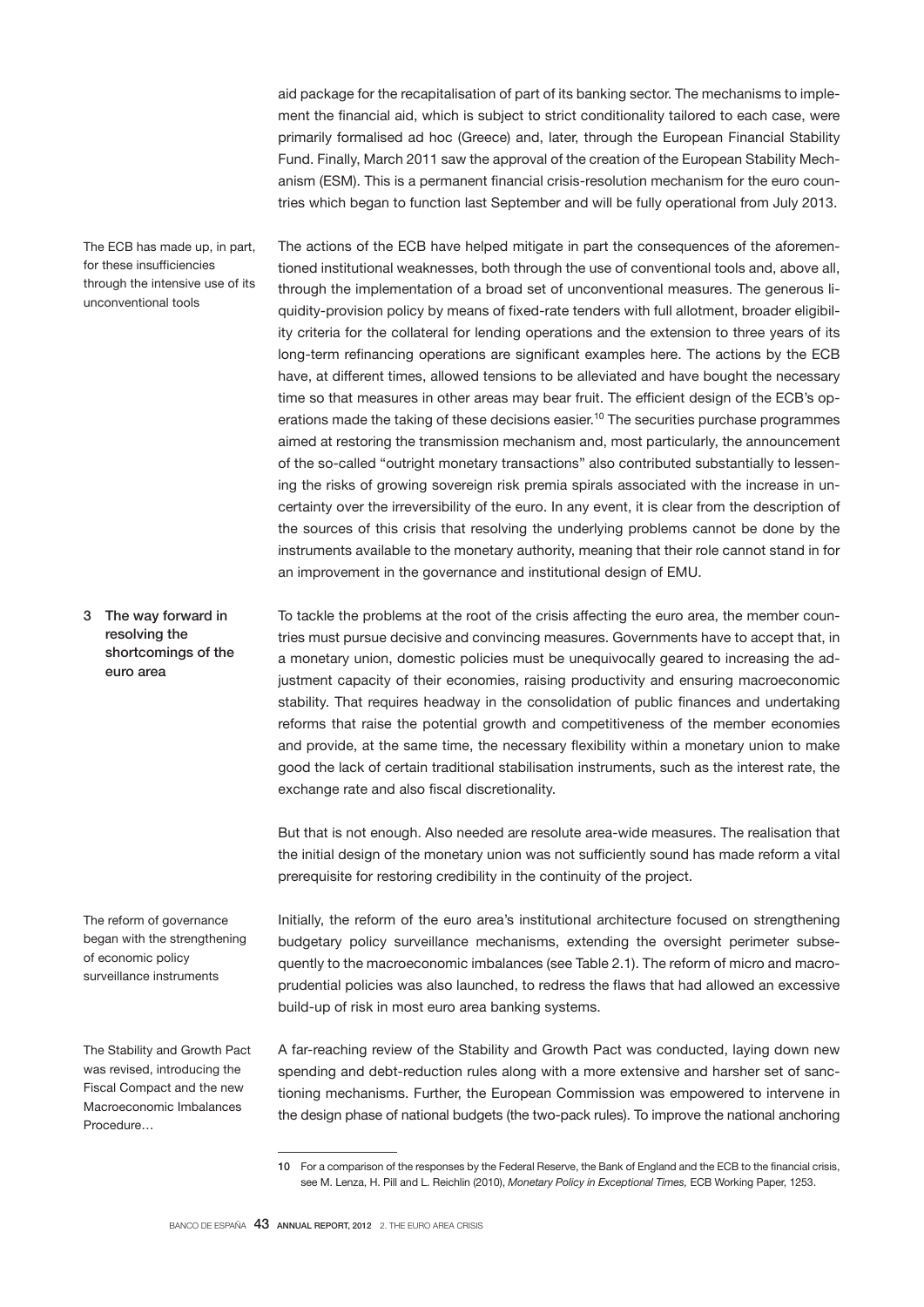aid package for the recapitalisation of part of its banking sector. The mechanisms to implement the financial aid, which is subject to strict conditionality tailored to each case, were primarily formalised ad hoc (Greece) and, later, through the European Financial Stability Fund. Finally, March 2011 saw the approval of the creation of the European Stability Mechanism (ESM). This is a permanent financial crisis-resolution mechanism for the euro countries which began to function last September and will be fully operational from July 2013.

The ECB has made up, in part, for these insufficiencies through the intensive use of its unconventional tools

The actions of the ECB have helped mitigate in part the consequences of the aforementioned institutional weaknesses, both through the use of conventional tools and, above all, through the implementation of a broad set of unconventional measures. The generous liquidity-provision policy by means of fixed-rate tenders with full allotment, broader eligibility criteria for the collateral for lending operations and the extension to three years of its long-term refinancing operations are significant examples here. The actions by the ECB have, at different times, allowed tensions to be alleviated and have bought the necessary time so that measures in other areas may bear fruit. The efficient design of the ECB's operations made the taking of these decisions easier.<sup>10</sup> The securities purchase programmes aimed at restoring the transmission mechanism and, most particularly, the announcement of the so-called "outright monetary transactions" also contributed substantially to lessening the risks of growing sovereign risk premia spirals associated with the increase in uncertainty over the irreversibility of the euro. In any event, it is clear from the description of the sources of this crisis that resolving the underlying problems cannot be done by the instruments available to the monetary authority, meaning that their role cannot stand in for an improvement in the governance and institutional design of EMU.

To tackle the problems at the root of the crisis affecting the euro area, the member countries must pursue decisive and convincing measures. Governments have to accept that, in a monetary union, domestic policies must be unequivocally geared to increasing the adjustment capacity of their economies, raising productivity and ensuring macroeconomic stability. That requires headway in the consolidation of public finances and undertaking reforms that raise the potential growth and competitiveness of the member economies and provide, at the same time, the necessary flexibility within a monetary union to make good the lack of certain traditional stabilisation instruments, such as the interest rate, the exchange rate and also fiscal discretionality. 3 The way forward in resolving the shortcomings of the euro area

> But that is not enough. Also needed are resolute area-wide measures. The realisation that the initial design of the monetary union was not sufficiently sound has made reform a vital prerequisite for restoring credibility in the continuity of the project.

The reform of governance began with the strengthening of economic policy surveillance instruments

The Stability and Growth Pact was revised, introducing the Fiscal Compact and the new Macroeconomic Imbalances Procedure…

Initially, the reform of the euro area's institutional architecture focused on strengthening budgetary policy surveillance mechanisms, extending the oversight perimeter subsequently to the macroeconomic imbalances (see Table 2.1). The reform of micro and macroprudential policies was also launched, to redress the flaws that had allowed an excessive build-up of risk in most euro area banking systems.

A far-reaching review of the Stability and Growth Pact was conducted, laying down new spending and debt-reduction rules along with a more extensive and harsher set of sanctioning mechanisms. Further, the European Commission was empowered to intervene in the design phase of national budgets (the two-pack rules). To improve the national anchoring

<sup>10</sup> For a comparison of the responses by the Federal Reserve, the Bank of England and the ECB to the financial crisis, see M. Lenza, H. Pill and L. Reichlin (2010), *Monetary Policy in Exceptional Times,* ECB Working Paper, 1253.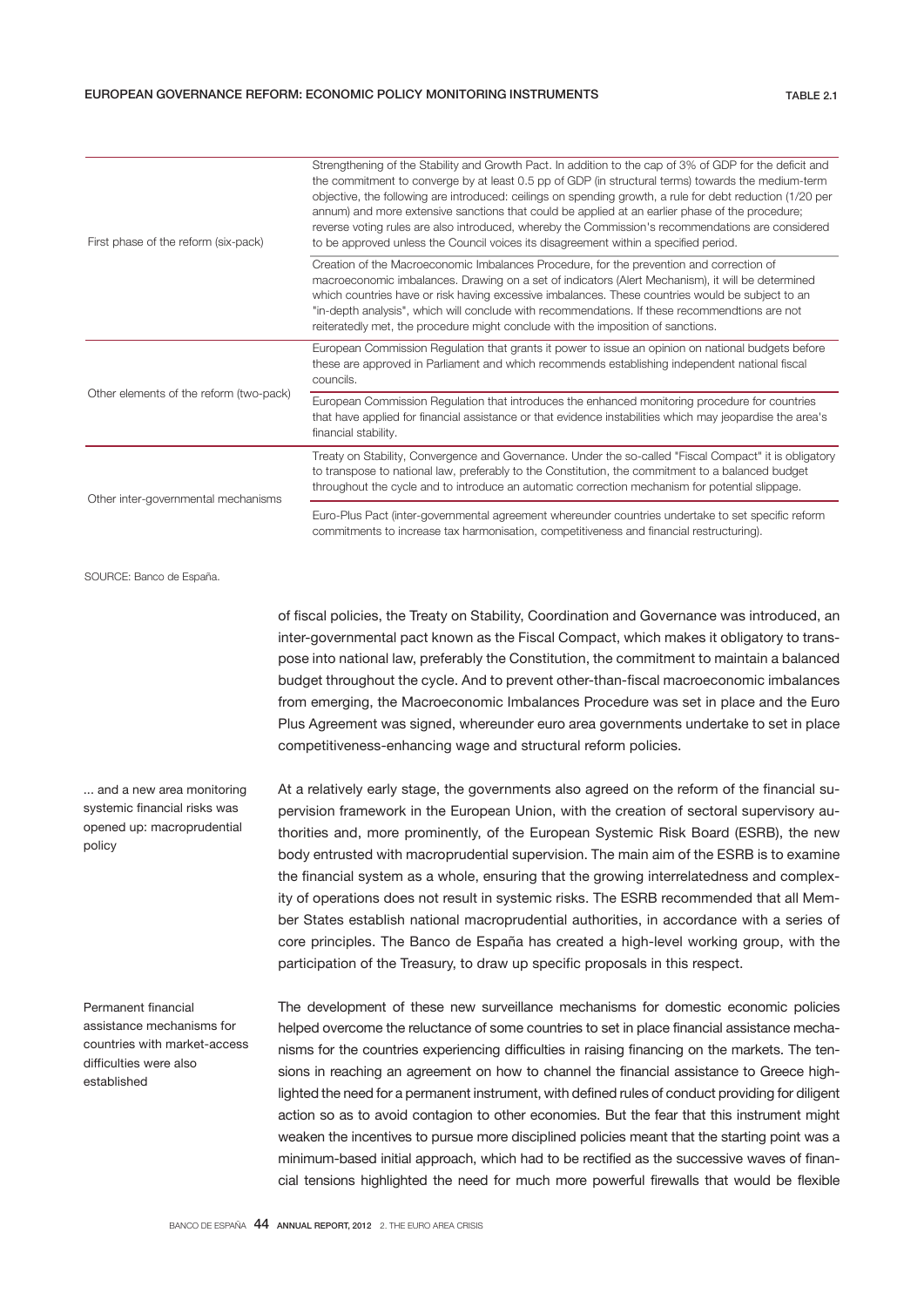| First phase of the reform (six-pack)    | Strengthening of the Stability and Growth Pact. In addition to the cap of 3% of GDP for the deficit and<br>the commitment to converge by at least 0.5 pp of GDP (in structural terms) towards the medium-term<br>objective, the following are introduced: ceilings on spending growth, a rule for debt reduction (1/20 per<br>annum) and more extensive sanctions that could be applied at an earlier phase of the procedure;<br>reverse voting rules are also introduced, whereby the Commission's recommendations are considered<br>to be approved unless the Council voices its disagreement within a specified period. |
|-----------------------------------------|----------------------------------------------------------------------------------------------------------------------------------------------------------------------------------------------------------------------------------------------------------------------------------------------------------------------------------------------------------------------------------------------------------------------------------------------------------------------------------------------------------------------------------------------------------------------------------------------------------------------------|
|                                         | Creation of the Macroeconomic Imbalances Procedure, for the prevention and correction of<br>macroeconomic imbalances. Drawing on a set of indicators (Alert Mechanism), it will be determined<br>which countries have or risk having excessive imbalances. These countries would be subject to an<br>"in-depth analysis", which will conclude with recommendations. If these recommendtions are not<br>reiteratedly met, the procedure might conclude with the imposition of sanctions.                                                                                                                                    |
|                                         | European Commission Regulation that grants it power to issue an opinion on national budgets before<br>these are approved in Parliament and which recommends establishing independent national fiscal<br>councils.                                                                                                                                                                                                                                                                                                                                                                                                          |
| Other elements of the reform (two-pack) | European Commission Regulation that introduces the enhanced monitoring procedure for countries<br>that have applied for financial assistance or that evidence instabilities which may jeopardise the area's<br>financial stability.                                                                                                                                                                                                                                                                                                                                                                                        |
| Other inter-governmental mechanisms     | Treaty on Stability, Convergence and Governance. Under the so-called "Fiscal Compact" it is obligatory<br>to transpose to national law, preferably to the Constitution, the commitment to a balanced budget<br>throughout the cycle and to introduce an automatic correction mechanism for potential slippage.                                                                                                                                                                                                                                                                                                             |
|                                         | Euro-Plus Pact (inter-governmental agreement whereunder countries undertake to set specific reform<br>commitments to increase tax harmonisation, competitiveness and financial restructuring).                                                                                                                                                                                                                                                                                                                                                                                                                             |

SOURCE: Banco de España.

of fiscal policies, the Treaty on Stability, Coordination and Governance was introduced, an inter-governmental pact known as the Fiscal Compact, which makes it obligatory to transpose into national law, preferably the Constitution, the commitment to maintain a balanced budget throughout the cycle. And to prevent other-than-fiscal macroeconomic imbalances from emerging, the Macroeconomic Imbalances Procedure was set in place and the Euro Plus Agreement was signed, whereunder euro area governments undertake to set in place competitiveness-enhancing wage and structural reform policies.

... and a new area monitoring systemic financial risks was opened up: macroprudential policy

At a relatively early stage, the governments also agreed on the reform of the financial supervision framework in the European Union, with the creation of sectoral supervisory authorities and, more prominently, of the European Systemic Risk Board (ESRB), the new body entrusted with macroprudential supervision. The main aim of the ESRB is to examine the financial system as a whole, ensuring that the growing interrelatedness and complexity of operations does not result in systemic risks. The ESRB recommended that all Member States establish national macroprudential authorities, in accordance with a series of core principles. The Banco de España has created a high-level working group, with the participation of the Treasury, to draw up specific proposals in this respect.

Permanent financial assistance mechanisms for countries with market-access difficulties were also established

The development of these new surveillance mechanisms for domestic economic policies helped overcome the reluctance of some countries to set in place financial assistance mechanisms for the countries experiencing difficulties in raising financing on the markets. The tensions in reaching an agreement on how to channel the financial assistance to Greece highlighted the need for a permanent instrument, with defined rules of conduct providing for diligent action so as to avoid contagion to other economies. But the fear that this instrument might weaken the incentives to pursue more disciplined policies meant that the starting point was a minimum-based initial approach, which had to be rectified as the successive waves of financial tensions highlighted the need for much more powerful firewalls that would be flexible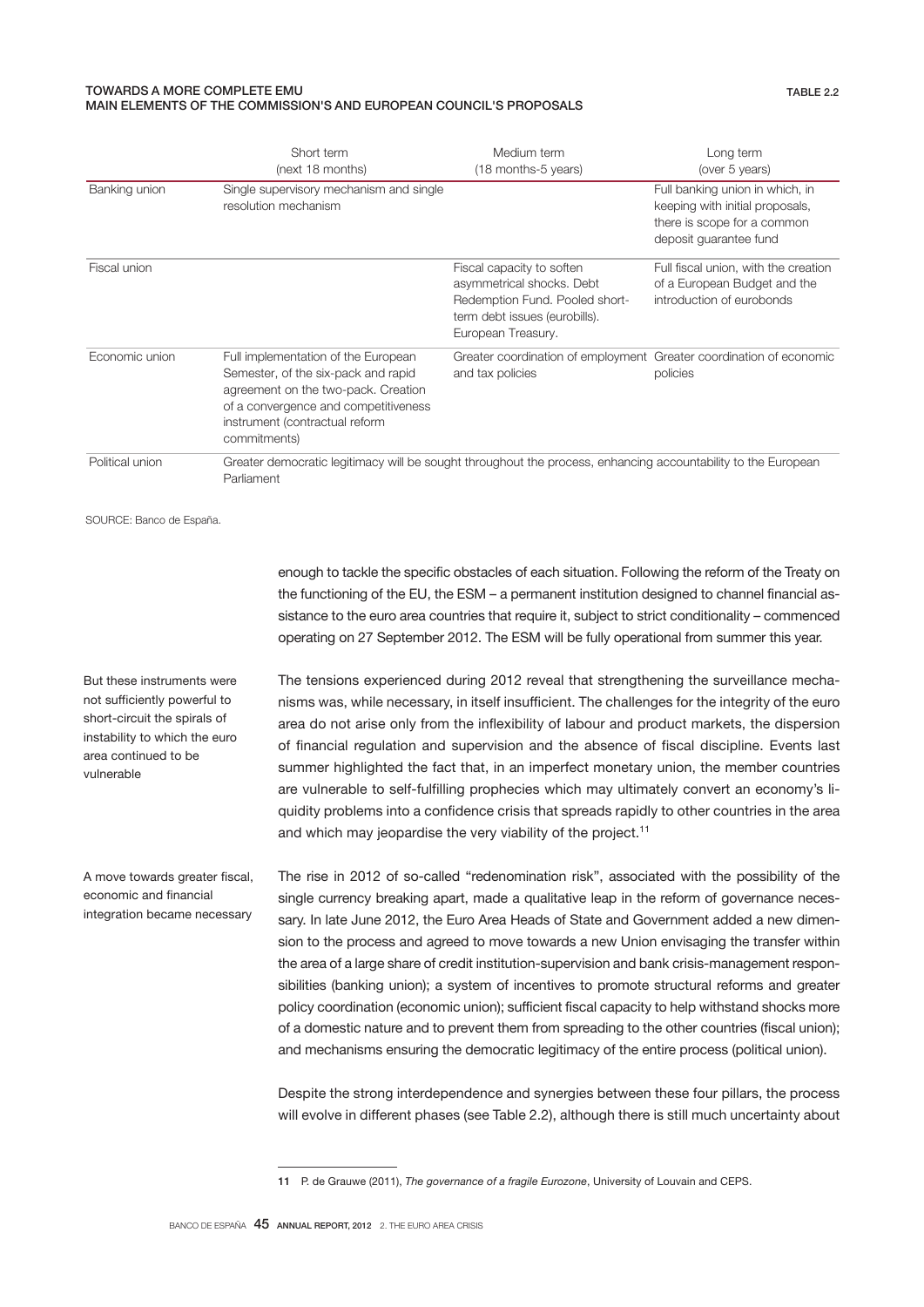# TOWARDS A MORE COMPLETE EMU MAIN ELEMENTS OF THE COMMISSION'S AND EUROPEAN COUNCIL'S PROPOSALS

|                 | Short term<br>(next 18 months)                                                                                                                                                                              | Medium term<br>(18 months-5 years)                                                                                                              | Long term<br>(over 5 years)                                                                                                 |  |  |
|-----------------|-------------------------------------------------------------------------------------------------------------------------------------------------------------------------------------------------------------|-------------------------------------------------------------------------------------------------------------------------------------------------|-----------------------------------------------------------------------------------------------------------------------------|--|--|
| Banking union   | Single supervisory mechanism and single<br>resolution mechanism                                                                                                                                             |                                                                                                                                                 | Full banking union in which, in<br>keeping with initial proposals,<br>there is scope for a common<br>deposit guarantee fund |  |  |
| Fiscal union    |                                                                                                                                                                                                             | Fiscal capacity to soften<br>asymmetrical shocks. Debt<br>Redemption Fund. Pooled short-<br>term debt issues (eurobills).<br>European Treasury. | Full fiscal union, with the creation<br>of a European Budget and the<br>introduction of eurobonds                           |  |  |
| Economic union  | Full implementation of the European<br>Semester, of the six-pack and rapid<br>agreement on the two-pack. Creation<br>of a convergence and competitiveness<br>instrument (contractual reform<br>commitments) | Greater coordination of employment Greater coordination of economic<br>and tax policies                                                         | policies                                                                                                                    |  |  |
| Political union | Greater democratic legitimacy will be sought throughout the process, enhancing accountability to the European<br>Parliament                                                                                 |                                                                                                                                                 |                                                                                                                             |  |  |

SOURCE: Banco de España.

But these instruments were not sufficiently powerful to short-circuit the spirals of instability to which the euro area continued to be vulnerable

A move towards greater fiscal, economic and financial integration became necessary

enough to tackle the specific obstacles of each situation. Following the reform of the Treaty on the functioning of the EU, the ESM – a permanent institution designed to channel financial assistance to the euro area countries that require it, subject to strict conditionality – commenced operating on 27 September 2012. The ESM will be fully operational from summer this year.

The tensions experienced during 2012 reveal that strengthening the surveillance mechanisms was, while necessary, in itself insufficient. The challenges for the integrity of the euro area do not arise only from the inflexibility of labour and product markets, the dispersion of financial regulation and supervision and the absence of fiscal discipline. Events last summer highlighted the fact that, in an imperfect monetary union, the member countries are vulnerable to self-fulfilling prophecies which may ultimately convert an economy's liquidity problems into a confidence crisis that spreads rapidly to other countries in the area and which may jeopardise the very viability of the project.<sup>11</sup>

The rise in 2012 of so-called "redenomination risk", associated with the possibility of the single currency breaking apart, made a qualitative leap in the reform of governance necessary. In late June 2012, the Euro Area Heads of State and Government added a new dimension to the process and agreed to move towards a new Union envisaging the transfer within the area of a large share of credit institution-supervision and bank crisis-management responsibilities (banking union); a system of incentives to promote structural reforms and greater policy coordination (economic union); sufficient fiscal capacity to help withstand shocks more of a domestic nature and to prevent them from spreading to the other countries (fiscal union); and mechanisms ensuring the democratic legitimacy of the entire process (political union).

Despite the strong interdependence and synergies between these four pillars, the process will evolve in different phases (see Table 2.2), although there is still much uncertainty about

<sup>11</sup> P. de Grauwe (2011), *The governance of a fragile Eurozone*, University of Louvain and CEPS.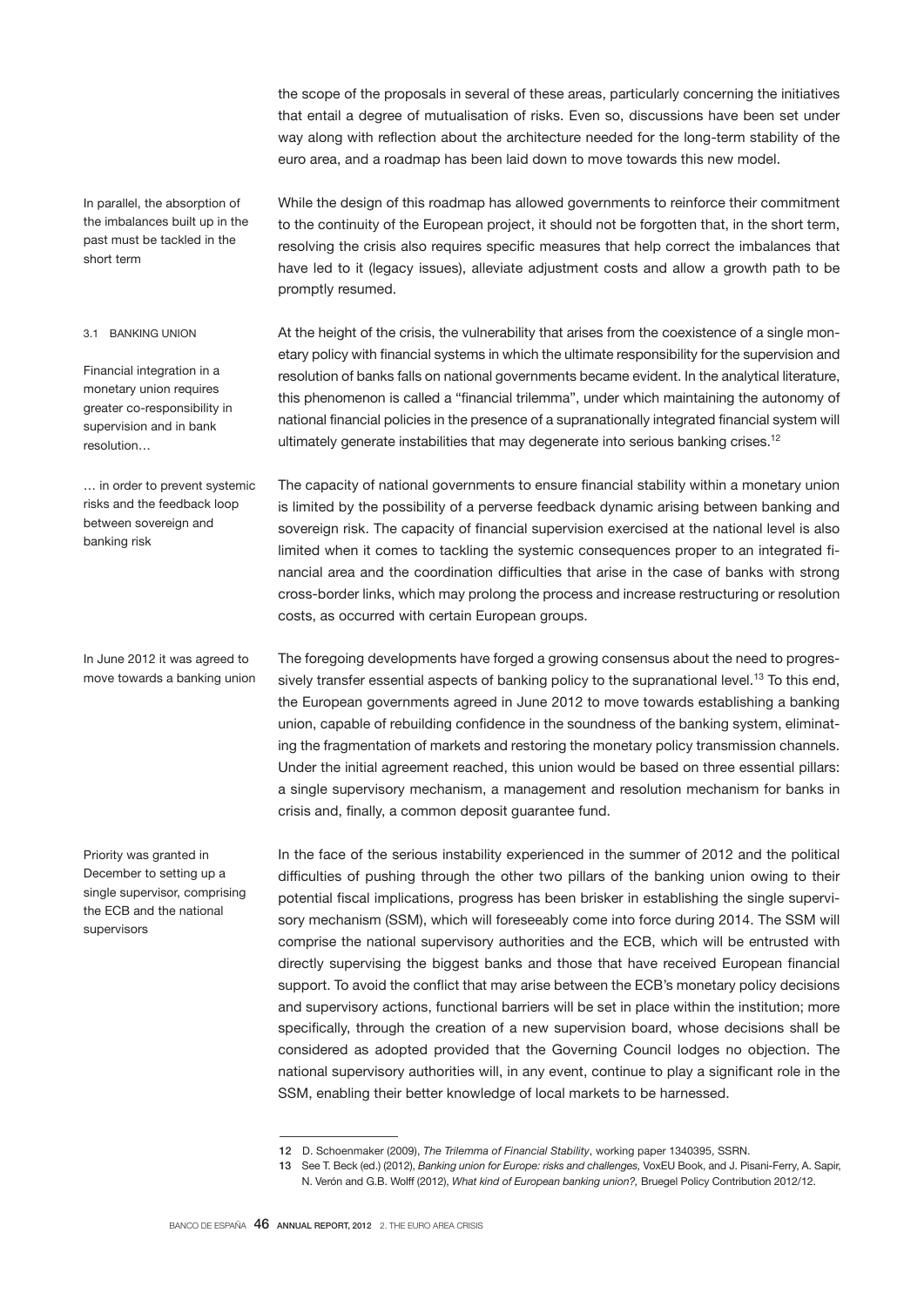the scope of the proposals in several of these areas, particularly concerning the initiatives that entail a degree of mutualisation of risks. Even so, discussions have been set under way along with reflection about the architecture needed for the long-term stability of the euro area, and a roadmap has been laid down to move towards this new model.

In parallel, the absorption of the imbalances built up in the past must be tackled in the short term

# 3.1 BANKING UNION

Financial integration in a monetary union requires greater co-responsibility in supervision and in bank resolution…

… in order to prevent systemic risks and the feedback loop between sovereign and banking risk

In June 2012 it was agreed to move towards a banking union

Priority was granted in December to setting up a single supervisor, comprising the ECB and the national supervisors

While the design of this roadmap has allowed governments to reinforce their commitment to the continuity of the European project, it should not be forgotten that, in the short term, resolving the crisis also requires specific measures that help correct the imbalances that have led to it (legacy issues), alleviate adjustment costs and allow a growth path to be promptly resumed.

At the height of the crisis, the vulnerability that arises from the coexistence of a single monetary policy with financial systems in which the ultimate responsibility for the supervision and resolution of banks falls on national governments became evident. In the analytical literature, this phenomenon is called a "financial trilemma", under which maintaining the autonomy of national financial policies in the presence of a supranationally integrated financial system will ultimately generate instabilities that may degenerate into serious banking crises.<sup>12</sup>

The capacity of national governments to ensure financial stability within a monetary union is limited by the possibility of a perverse feedback dynamic arising between banking and sovereign risk. The capacity of financial supervision exercised at the national level is also limited when it comes to tackling the systemic consequences proper to an integrated financial area and the coordination difficulties that arise in the case of banks with strong cross-border links, which may prolong the process and increase restructuring or resolution costs, as occurred with certain European groups.

The foregoing developments have forged a growing consensus about the need to progressively transfer essential aspects of banking policy to the supranational level.<sup>13</sup> To this end, the European governments agreed in June 2012 to move towards establishing a banking union, capable of rebuilding confidence in the soundness of the banking system, eliminating the fragmentation of markets and restoring the monetary policy transmission channels. Under the initial agreement reached, this union would be based on three essential pillars: a single supervisory mechanism, a management and resolution mechanism for banks in crisis and, finally, a common deposit guarantee fund.

In the face of the serious instability experienced in the summer of 2012 and the political difficulties of pushing through the other two pillars of the banking union owing to their potential fiscal implications, progress has been brisker in establishing the single supervisory mechanism (SSM), which will foreseeably come into force during 2014. The SSM will comprise the national supervisory authorities and the ECB, which will be entrusted with directly supervising the biggest banks and those that have received European financial support. To avoid the conflict that may arise between the ECB's monetary policy decisions and supervisory actions, functional barriers will be set in place within the institution; more specifically, through the creation of a new supervision board, whose decisions shall be considered as adopted provided that the Governing Council lodges no objection. The national supervisory authorities will, in any event, continue to play a significant role in the SSM, enabling their better knowledge of local markets to be harnessed.

<sup>12</sup> D. Schoenmaker (2009), *The Trilemma of Financial Stability*, working paper 1340395, SSRN.

<sup>13</sup> See T. Beck (ed.) (2012), *Banking union for Europe: risks and challenges,* VoxEU Book, and J. Pisani-Ferry, A. Sapir, N. Verón and G.B. Wolff (2012), *What kind of European banking union?,* Bruegel Policy Contribution 2012/12.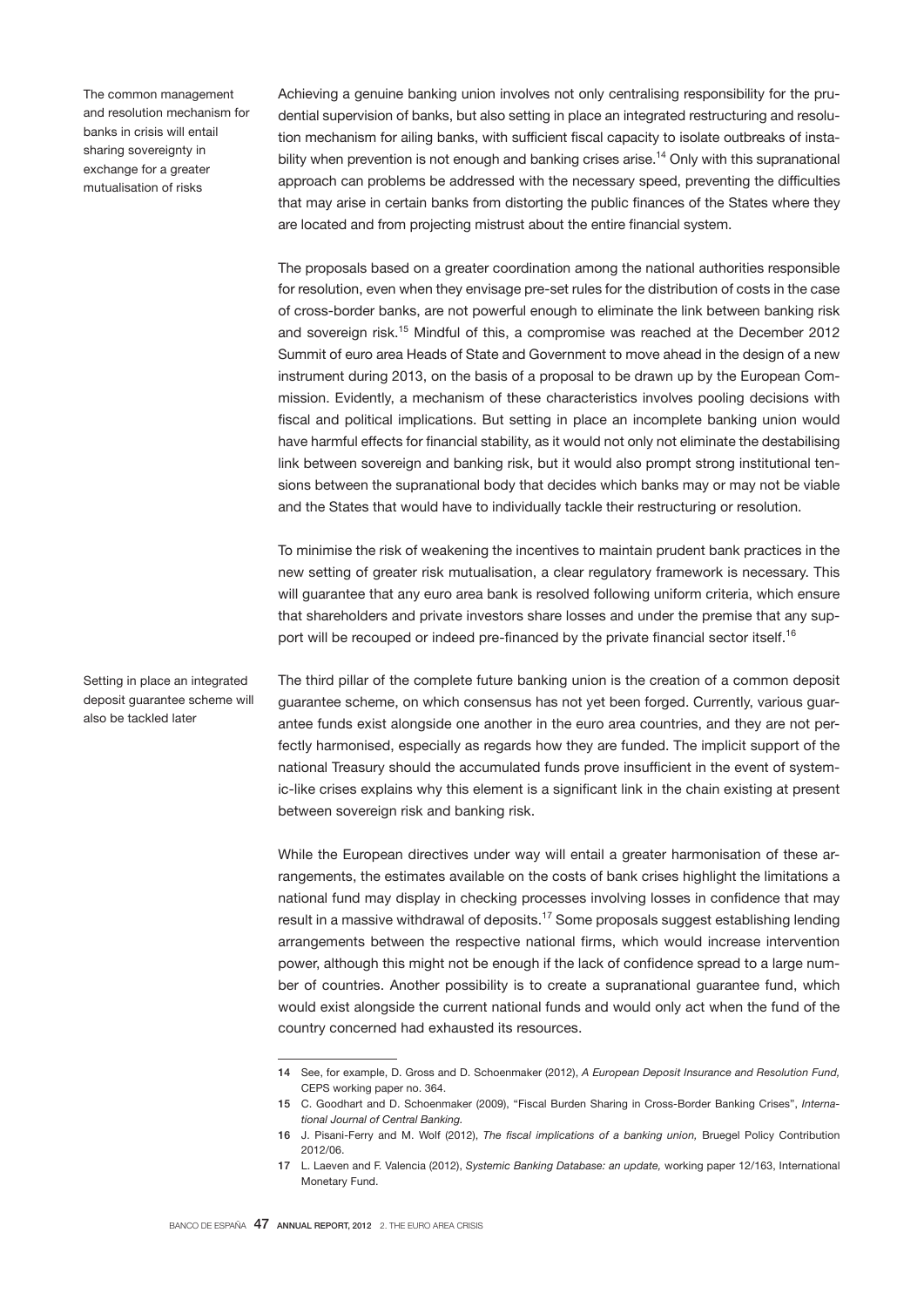The common management and resolution mechanism for banks in crisis will entail sharing sovereignty in exchange for a greater mutualisation of risks

Achieving a genuine banking union involves not only centralising responsibility for the prudential supervision of banks, but also setting in place an integrated restructuring and resolution mechanism for ailing banks, with sufficient fiscal capacity to isolate outbreaks of instability when prevention is not enough and banking crises arise.<sup>14</sup> Only with this supranational approach can problems be addressed with the necessary speed, preventing the difficulties that may arise in certain banks from distorting the public finances of the States where they are located and from projecting mistrust about the entire financial system.

The proposals based on a greater coordination among the national authorities responsible for resolution, even when they envisage pre-set rules for the distribution of costs in the case of cross-border banks, are not powerful enough to eliminate the link between banking risk and sovereign risk.15 Mindful of this, a compromise was reached at the December 2012 Summit of euro area Heads of State and Government to move ahead in the design of a new instrument during 2013, on the basis of a proposal to be drawn up by the European Commission. Evidently, a mechanism of these characteristics involves pooling decisions with fiscal and political implications. But setting in place an incomplete banking union would have harmful effects for financial stability, as it would not only not eliminate the destabilising link between sovereign and banking risk, but it would also prompt strong institutional tensions between the supranational body that decides which banks may or may not be viable and the States that would have to individually tackle their restructuring or resolution.

To minimise the risk of weakening the incentives to maintain prudent bank practices in the new setting of greater risk mutualisation, a clear regulatory framework is necessary. This will guarantee that any euro area bank is resolved following uniform criteria, which ensure that shareholders and private investors share losses and under the premise that any support will be recouped or indeed pre-financed by the private financial sector itself.<sup>16</sup>

Setting in place an integrated deposit guarantee scheme will also be tackled later

The third pillar of the complete future banking union is the creation of a common deposit guarantee scheme, on which consensus has not yet been forged. Currently, various guarantee funds exist alongside one another in the euro area countries, and they are not perfectly harmonised, especially as regards how they are funded. The implicit support of the national Treasury should the accumulated funds prove insufficient in the event of systemic-like crises explains why this element is a significant link in the chain existing at present between sovereign risk and banking risk.

While the European directives under way will entail a greater harmonisation of these arrangements, the estimates available on the costs of bank crises highlight the limitations a national fund may display in checking processes involving losses in confidence that may result in a massive withdrawal of deposits.<sup>17</sup> Some proposals suggest establishing lending arrangements between the respective national firms, which would increase intervention power, although this might not be enough if the lack of confidence spread to a large number of countries. Another possibility is to create a supranational guarantee fund, which would exist alongside the current national funds and would only act when the fund of the country concerned had exhausted its resources.

<sup>14</sup> See, for example, D. Gross and D. Schoenmaker (2012), *A European Deposit Insurance and Resolution Fund,*  CEPS working paper no. 364.

<sup>15</sup> C. Goodhart and D. Schoenmaker (2009), "Fiscal Burden Sharing in Cross-Border Banking Crises", *International Journal of Central Banking.*

<sup>16</sup> J. Pisani-Ferry and M. Wolf (2012), *The fiscal implications of a banking union,* Bruegel Policy Contribution 2012/06.

<sup>17</sup> L. Laeven and F. Valencia (2012), *Systemic Banking Database: an update,* working paper 12/163, International Monetary Fund.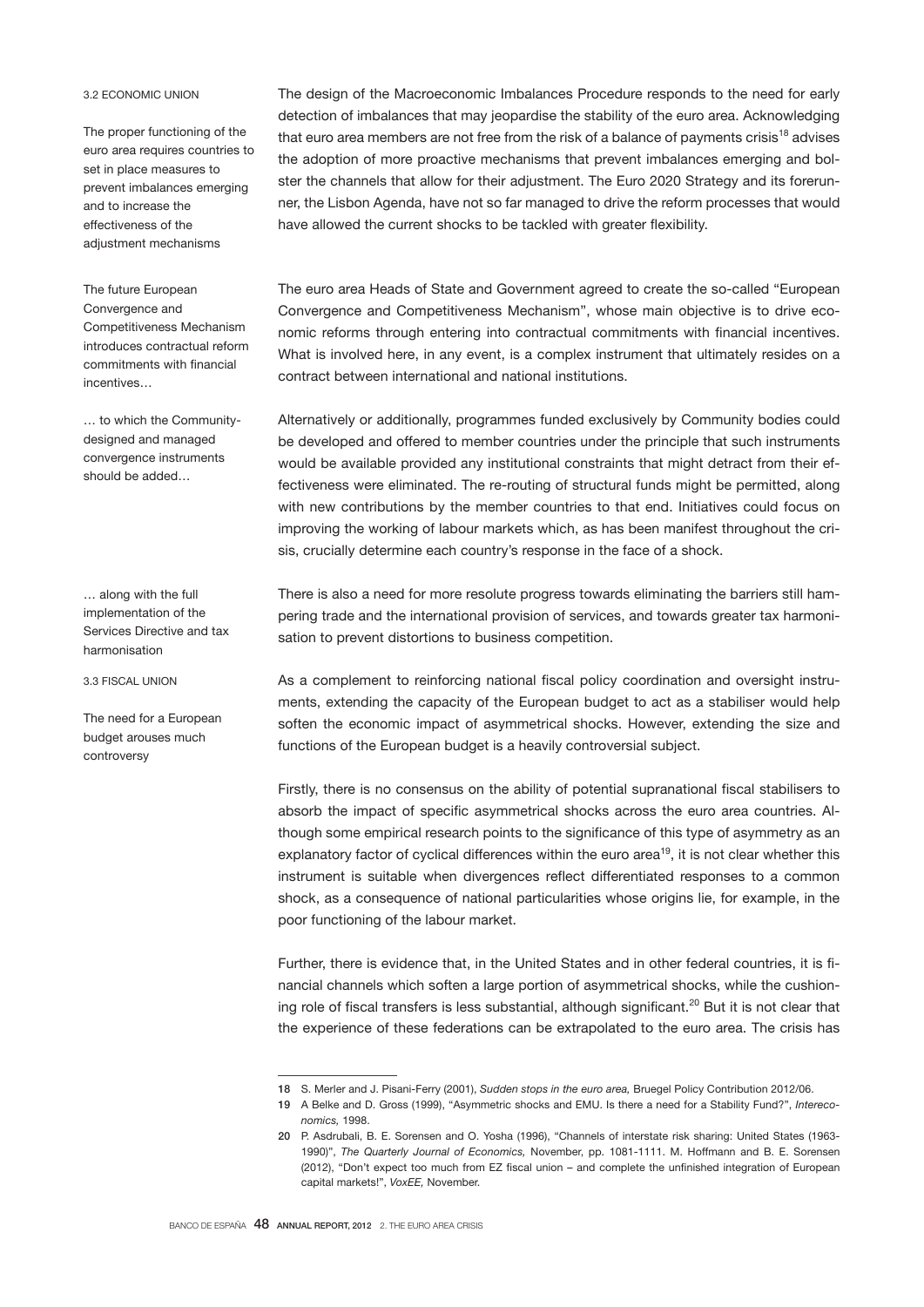# 3.2 ECONOMIC UNION

The proper functioning of the euro area requires countries to set in place measures to prevent imbalances emerging and to increase the effectiveness of the adjustment mechanisms

The future European Convergence and Competitiveness Mechanism introduces contractual reform commitments with financial incentives…

… to which the Communitydesigned and managed convergence instruments should be added…

… along with the full implementation of the Services Directive and tax harmonisation

3.3 FISCAL UNION

The need for a European budget arouses much controversy

The design of the Macroeconomic Imbalances Procedure responds to the need for early detection of imbalances that may jeopardise the stability of the euro area. Acknowledging that euro area members are not free from the risk of a balance of payments crisis<sup>18</sup> advises the adoption of more proactive mechanisms that prevent imbalances emerging and bolster the channels that allow for their adjustment. The Euro 2020 Strategy and its forerunner, the Lisbon Agenda, have not so far managed to drive the reform processes that would have allowed the current shocks to be tackled with greater flexibility.

The euro area Heads of State and Government agreed to create the so-called "European Convergence and Competitiveness Mechanism", whose main objective is to drive economic reforms through entering into contractual commitments with financial incentives. What is involved here, in any event, is a complex instrument that ultimately resides on a contract between international and national institutions.

Alternatively or additionally, programmes funded exclusively by Community bodies could be developed and offered to member countries under the principle that such instruments would be available provided any institutional constraints that might detract from their effectiveness were eliminated. The re-routing of structural funds might be permitted, along with new contributions by the member countries to that end. Initiatives could focus on improving the working of labour markets which, as has been manifest throughout the crisis, crucially determine each country's response in the face of a shock.

There is also a need for more resolute progress towards eliminating the barriers still hampering trade and the international provision of services, and towards greater tax harmonisation to prevent distortions to business competition.

As a complement to reinforcing national fiscal policy coordination and oversight instruments, extending the capacity of the European budget to act as a stabiliser would help soften the economic impact of asymmetrical shocks. However, extending the size and functions of the European budget is a heavily controversial subject.

Firstly, there is no consensus on the ability of potential supranational fiscal stabilisers to absorb the impact of specific asymmetrical shocks across the euro area countries. Although some empirical research points to the significance of this type of asymmetry as an explanatory factor of cyclical differences within the euro area<sup>19</sup>, it is not clear whether this instrument is suitable when divergences reflect differentiated responses to a common shock, as a consequence of national particularities whose origins lie, for example, in the poor functioning of the labour market.

Further, there is evidence that, in the United States and in other federal countries, it is financial channels which soften a large portion of asymmetrical shocks, while the cushioning role of fiscal transfers is less substantial, although significant.20 But it is not clear that the experience of these federations can be extrapolated to the euro area. The crisis has

<sup>18</sup> S. Merler and J. Pisani-Ferry (2001), *Sudden stops in the euro area,* Bruegel Policy Contribution 2012/06.

<sup>19</sup> A Belke and D. Gross (1999), "Asymmetric shocks and EMU. Is there a need for a Stability Fund?", *Intereconomics,* 1998.

<sup>20</sup> P. Asdrubali, B. E. Sorensen and O. Yosha (1996), "Channels of interstate risk sharing: United States (1963- 1990)", *The Quarterly Journal of Economics,* November, pp. 1081-1111. M. Hoffmann and B. E. Sorensen (2012), "Don't expect too much from EZ fiscal union – and complete the unfinished integration of European capital markets!", *VoxEE,* November.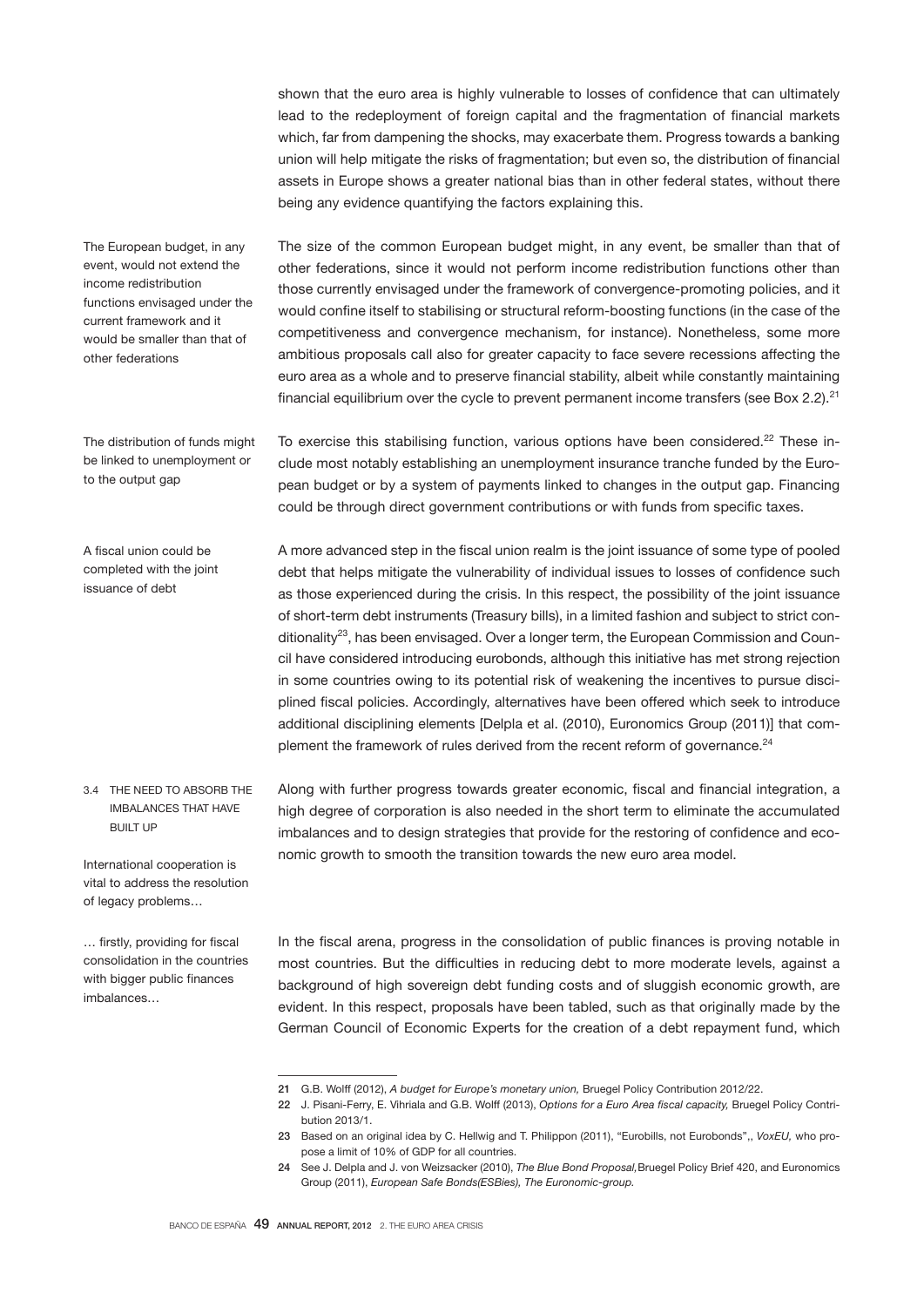shown that the euro area is highly vulnerable to losses of confidence that can ultimately lead to the redeployment of foreign capital and the fragmentation of financial markets which, far from dampening the shocks, may exacerbate them. Progress towards a banking union will help mitigate the risks of fragmentation; but even so, the distribution of financial assets in Europe shows a greater national bias than in other federal states, without there being any evidence quantifying the factors explaining this.

The size of the common European budget might, in any event, be smaller than that of other federations, since it would not perform income redistribution functions other than those currently envisaged under the framework of convergence-promoting policies, and it would confine itself to stabilising or structural reform-boosting functions (in the case of the competitiveness and convergence mechanism, for instance). Nonetheless, some more ambitious proposals call also for greater capacity to face severe recessions affecting the euro area as a whole and to preserve financial stability, albeit while constantly maintaining financial equilibrium over the cycle to prevent permanent income transfers (see Box 2.2).<sup>21</sup>

To exercise this stabilising function, various options have been considered.<sup>22</sup> These include most notably establishing an unemployment insurance tranche funded by the European budget or by a system of payments linked to changes in the output gap. Financing could be through direct government contributions or with funds from specific taxes.

A more advanced step in the fiscal union realm is the joint issuance of some type of pooled debt that helps mitigate the vulnerability of individual issues to losses of confidence such as those experienced during the crisis. In this respect, the possibility of the joint issuance of short-term debt instruments (Treasury bills), in a limited fashion and subject to strict conditionality<sup>23</sup>, has been envisaged. Over a longer term, the European Commission and Council have considered introducing eurobonds, although this initiative has met strong rejection in some countries owing to its potential risk of weakening the incentives to pursue disciplined fiscal policies. Accordingly, alternatives have been offered which seek to introduce additional disciplining elements [Delpla et al. (2010), Euronomics Group (2011)] that complement the framework of rules derived from the recent reform of governance.<sup>24</sup>

3.4 THE NEED TO ABSORB THE IMBALANCES THAT HAVE **BUILT UP** 

International cooperation is vital to address the resolution of legacy problems…

… firstly, providing for fiscal consolidation in the countries with bigger public finances imbalances…

Along with further progress towards greater economic, fiscal and financial integration, a high degree of corporation is also needed in the short term to eliminate the accumulated imbalances and to design strategies that provide for the restoring of confidence and economic growth to smooth the transition towards the new euro area model.

In the fiscal arena, progress in the consolidation of public finances is proving notable in most countries. But the difficulties in reducing debt to more moderate levels, against a background of high sovereign debt funding costs and of sluggish economic growth, are evident. In this respect, proposals have been tabled, such as that originally made by the German Council of Economic Experts for the creation of a debt repayment fund, which

The European budget, in any event, would not extend the income redistribution functions envisaged under the current framework and it would be smaller than that of other federations

The distribution of funds might be linked to unemployment or to the output gap

A fiscal union could be completed with the joint issuance of debt

<sup>21</sup> G.B. Wolff (2012), *A budget for Europe's monetary union,* Bruegel Policy Contribution 2012/22.

<sup>22</sup> J. Pisani-Ferry, E. Vihriala and G.B. Wolff (2013), *Options for a Euro Area fiscal capacity,* Bruegel Policy Contribution 2013/1.

<sup>23</sup> Based on an original idea by C. Hellwig and T. Philippon (2011), "Eurobills, not Eurobonds",, *VoxEU,* who propose a limit of 10% of GDP for all countries.

<sup>24</sup> See J. Delpla and J. von Weizsacker (2010), *The Blue Bond Proposal,*Bruegel Policy Brief 420, and Euronomics Group (2011), *European Safe Bonds(ESBies), The Euronomic-group.*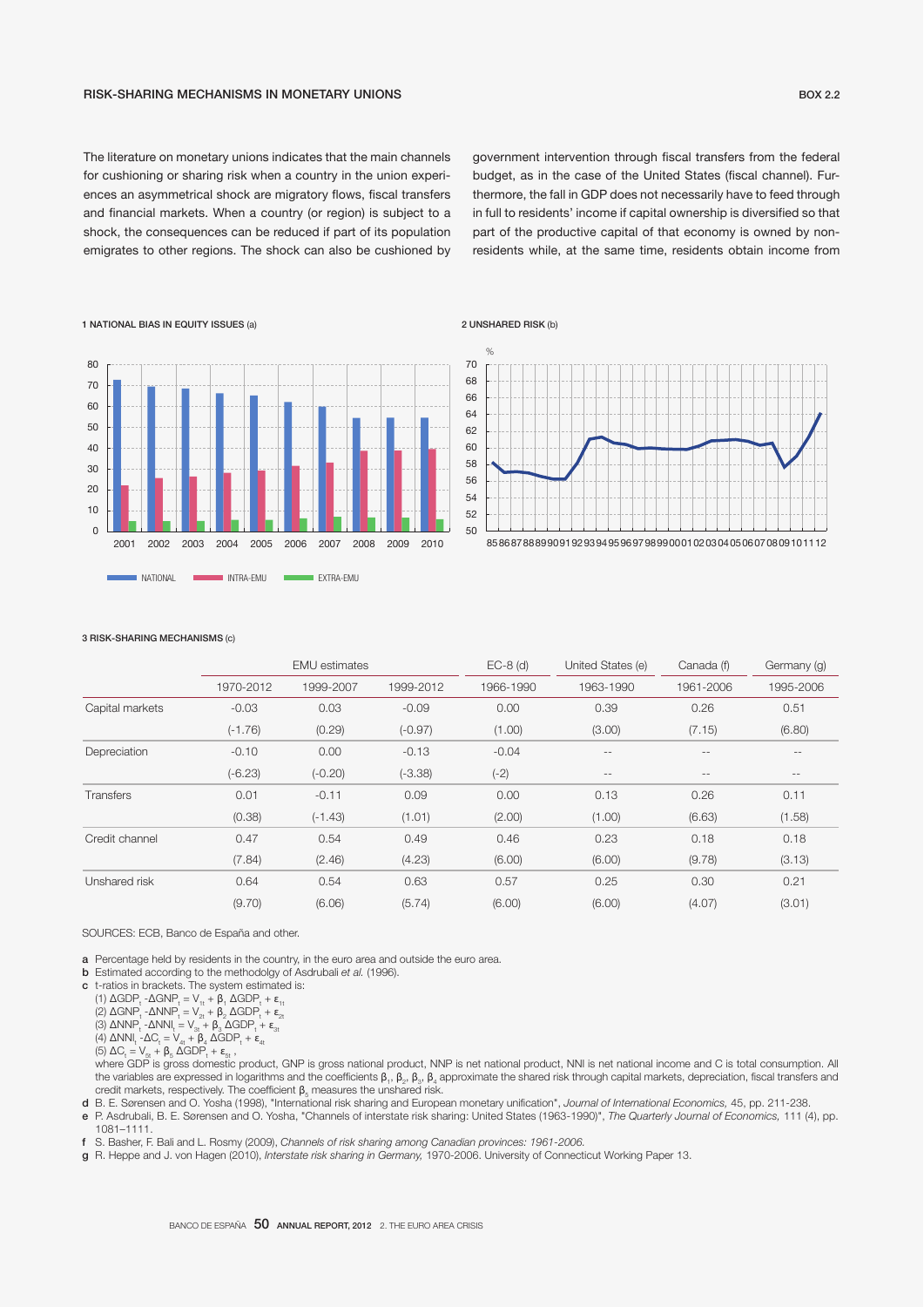The literature on monetary unions indicates that the main channels for cushioning or sharing risk when a country in the union experiences an asymmetrical shock are migratory flows, fiscal transfers and financial markets. When a country (or region) is subject to a shock, the consequences can be reduced if part of its population emigrates to other regions. The shock can also be cushioned by government intervention through fiscal transfers from the federal budget, as in the case of the United States (fiscal channel). Furthermore, the fall in GDP does not necessarily have to feed through in full to residents' income if capital ownership is diversified so that part of the productive capital of that economy is owned by nonresidents while, at the same time, residents obtain income from



2 UNSHARED RISK (b)



#### 3 RISK-SHARING MECHANISMS (c)

|                 | <b>EMU</b> estimates |           |           | $EC-8$ (d) | United States (e) | Canada (f)        | Germany (g)       |
|-----------------|----------------------|-----------|-----------|------------|-------------------|-------------------|-------------------|
|                 | 1970-2012            | 1999-2007 | 1999-2012 | 1966-1990  | 1963-1990         | 1961-2006         | 1995-2006         |
| Capital markets | $-0.03$              | 0.03      | $-0.09$   | 0.00       | 0.39              | 0.26              | 0.51              |
|                 | $(-1.76)$            | (0.29)    | $(-0.97)$ | (1.00)     | (3.00)            | (7.15)            | (6.80)            |
| Depreciation    | $-0.10$              | 0.00      | $-0.13$   | $-0.04$    | $- -$             | $\qquad \qquad -$ | $\qquad \qquad -$ |
|                 | $(-6.23)$            | $(-0.20)$ | $(-3.38)$ | $(-2)$     | $\qquad \qquad -$ | $\qquad \qquad -$ | $\qquad \qquad -$ |
| Transfers       | 0.01                 | $-0.11$   | 0.09      | 0.00       | 0.13              | 0.26              | 0.11              |
|                 | (0.38)               | $(-1.43)$ | (1.01)    | (2.00)     | (1.00)            | (6.63)            | (1.58)            |
| Credit channel  | 0.47                 | 0.54      | 0.49      | 0.46       | 0.23              | 0.18              | 0.18              |
|                 | (7.84)               | (2.46)    | (4.23)    | (6.00)     | (6.00)            | (9.78)            | (3.13)            |
| Unshared risk   | 0.64                 | 0.54      | 0.63      | 0.57       | 0.25              | 0.30              | 0.21              |
|                 | (9.70)               | (6.06)    | (5.74)    | (6.00)     | (6.00)            | (4.07)            | (3.01)            |

SOURCES: ECB, Banco de España and other.

- a Percentage held by residents in the country, in the euro area and outside the euro area.
- b Estimated according to the methodolgy of Asdrubali *et al.* (1996).
- c t-ratios in brackets. The system estimated is:

(1)  $\triangle GDP_t - \triangle GNP_t = V_{1t} + \beta_1 \triangle GDP_t + \epsilon_{1t}$ 

(2) ΔGNP<sub>t</sub> - ΔNNP<sub>t</sub> = V<sub>2t</sub> + β<sub>2</sub> ΔGDP<sub>t</sub> + ε<sub>2t</sub>

(3)  $\triangle NNP_t - \triangle NNI_t = V_{3t} + \beta_3 \triangle GDP_t + \epsilon_{3t}$ 

(4)  $\triangle NNI_t$  -  $\triangle C_t = V_{4t} + \beta_4 \triangle GDP_t + \varepsilon_{4t}$ 

(5)  $\Delta C_t = V_{5t} + \beta_5 \overline{\Delta GDP}_t + \epsilon_{5t}$ ,

verback GDP is aros domestic product. GNP is aross national product. NNP is net national product. NNI is net national income and C is total consumption. All the variables are expressed in logarithms and the coefficients  $\beta_1, \beta_2, \beta_3, \beta_4$  approximate the shared risk through capital markets, depreciation, fiscal transfers and credit markets, respectively. The coefficient  $\beta_{5}$  measures the unshared risk.

d B. E. Sørensen and O. Yosha (1998), "International risk sharing and European monetary unification", Journal of International Economics, 45, pp. 211-238.

e P. Asdrubali, B. E. Sørensen and O. Yosha, "Channels of interstate risk sharing: United States (1963-1990)", *The Quarterly Journal of Economics,* 111 (4), pp. 1081–1111.

f S. Basher, F. Bali and L. Rosmy (2009), *Channels of risk sharing among Canadian provinces: 1961-2006.*

g R. Heppe and J. von Hagen (2010), *Interstate risk sharing in Germany,* 1970-2006. University of Connecticut Working Paper 13.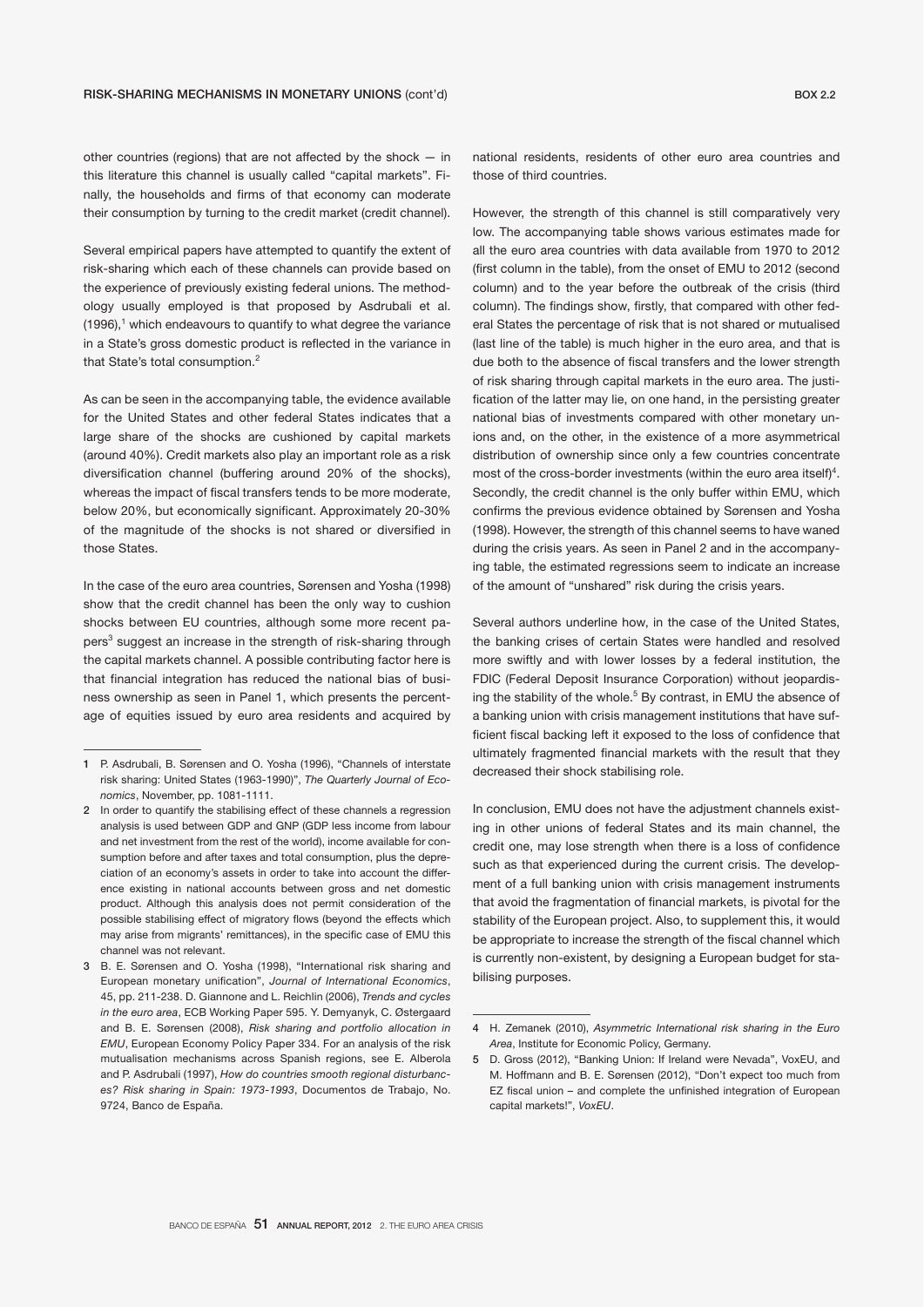other countries (regions) that are not affected by the shock — in this literature this channel is usually called "capital markets". Finally, the households and firms of that economy can moderate their consumption by turning to the credit market (credit channel).

Several empirical papers have attempted to quantify the extent of risk-sharing which each of these channels can provide based on the experience of previously existing federal unions. The methodology usually employed is that proposed by Asdrubali et al.  $(1996)$ ,<sup>1</sup> which endeavours to quantify to what degree the variance in a State's gross domestic product is reflected in the variance in that State's total consumption.<sup>2</sup>

As can be seen in the accompanying table, the evidence available for the United States and other federal States indicates that a large share of the shocks are cushioned by capital markets (around 40%). Credit markets also play an important role as a risk diversification channel (buffering around 20% of the shocks), whereas the impact of fiscal transfers tends to be more moderate, below 20%, but economically significant. Approximately 20-30% of the magnitude of the shocks is not shared or diversified in those States.

In the case of the euro area countries, Sørensen and Yosha (1998) show that the credit channel has been the only way to cushion shocks between EU countries, although some more recent papers<sup>3</sup> suggest an increase in the strength of risk-sharing through the capital markets channel. A possible contributing factor here is that financial integration has reduced the national bias of business ownership as seen in Panel 1, which presents the percentage of equities issued by euro area residents and acquired by

national residents, residents of other euro area countries and those of third countries.

However, the strength of this channel is still comparatively very low. The accompanying table shows various estimates made for all the euro area countries with data available from 1970 to 2012 (first column in the table), from the onset of EMU to 2012 (second column) and to the year before the outbreak of the crisis (third column). The findings show, firstly, that compared with other federal States the percentage of risk that is not shared or mutualised (last line of the table) is much higher in the euro area, and that is due both to the absence of fiscal transfers and the lower strength of risk sharing through capital markets in the euro area. The justification of the latter may lie, on one hand, in the persisting greater national bias of investments compared with other monetary unions and, on the other, in the existence of a more asymmetrical distribution of ownership since only a few countries concentrate most of the cross-border investments (within the euro area itself)<sup>4</sup>. Secondly, the credit channel is the only buffer within EMU, which confirms the previous evidence obtained by Sørensen and Yosha (1998). However, the strength of this channel seems to have waned during the crisis years. As seen in Panel 2 and in the accompanying table, the estimated regressions seem to indicate an increase of the amount of "unshared" risk during the crisis years.

Several authors underline how, in the case of the United States, the banking crises of certain States were handled and resolved more swiftly and with lower losses by a federal institution, the FDIC (Federal Deposit Insurance Corporation) without jeopardising the stability of the whole.<sup>5</sup> By contrast, in EMU the absence of a banking union with crisis management institutions that have sufficient fiscal backing left it exposed to the loss of confidence that ultimately fragmented financial markets with the result that they decreased their shock stabilising role.

In conclusion, EMU does not have the adjustment channels existing in other unions of federal States and its main channel, the credit one, may lose strength when there is a loss of confidence such as that experienced during the current crisis. The development of a full banking union with crisis management instruments that avoid the fragmentation of financial markets, is pivotal for the stability of the European project. Also, to supplement this, it would be appropriate to increase the strength of the fiscal channel which is currently non-existent, by designing a European budget for stabilising purposes.

<sup>1</sup> P. Asdrubali, B. Sørensen and O. Yosha (1996), "Channels of interstate risk sharing: United States (1963-1990)", *The Quarterly Journal of Economics*, November, pp. 1081-1111.

<sup>2</sup> In order to quantify the stabilising effect of these channels a regression analysis is used between GDP and GNP (GDP less income from labour and net investment from the rest of the world), income available for consumption before and after taxes and total consumption, plus the depreciation of an economy's assets in order to take into account the difference existing in national accounts between gross and net domestic product. Although this analysis does not permit consideration of the possible stabilising effect of migratory flows (beyond the effects which may arise from migrants' remittances), in the specific case of EMU this channel was not relevant.

<sup>3</sup> B. E. Sørensen and O. Yosha (1998), "International risk sharing and European monetary unification", *Journal of International Economics*, 45, pp. 211-238. D. Giannone and L. Reichlin (2006), *Trends and cycles in the euro area*, ECB Working Paper 595. Y. Demyanyk, C. Østergaard and B. E. Sørensen (2008), *Risk sharing and portfolio allocation in EMU*, European Economy Policy Paper 334. For an analysis of the risk mutualisation mechanisms across Spanish regions, see E. Alberola and P. Asdrubali (1997), *How do countries smooth regional disturbances? Risk sharing in Spain: 1973-1993*, Documentos de Trabajo, No. 9724, Banco de España.

<sup>4</sup> H. Zemanek (2010), *Asymmetric International risk sharing in the Euro Area*, Institute for Economic Policy, Germany.

<sup>5</sup> D. Gross (2012), "Banking Union: If Ireland were Nevada", VoxEU, and M. Hoffmann and B. E. Sørensen (2012), "Don't expect too much from EZ fiscal union – and complete the unfinished integration of European capital markets!", *VoxEU*.